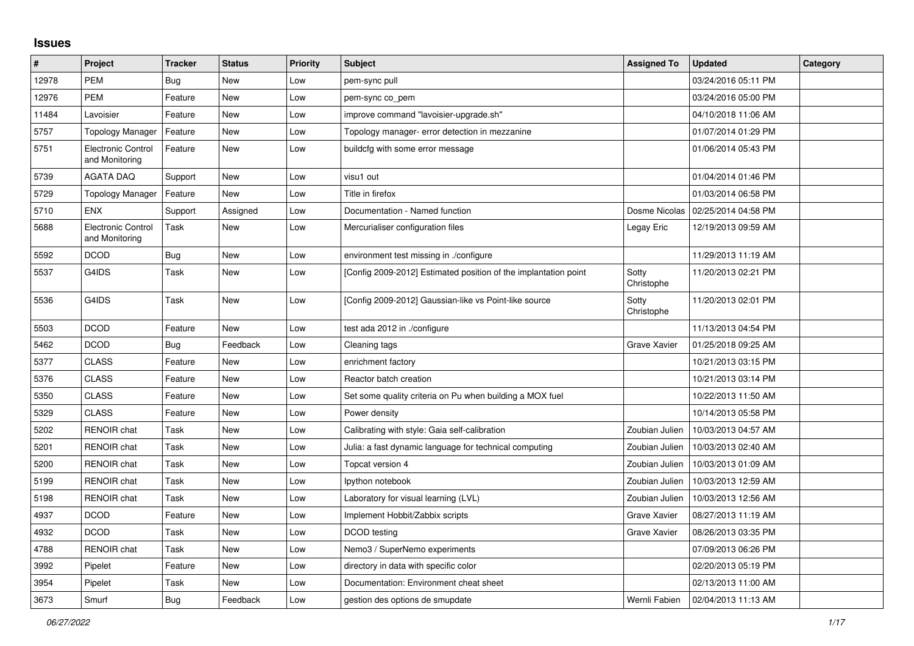## **Issues**

| $\vert$ # | Project                              | <b>Tracker</b> | <b>Status</b> | <b>Priority</b> | <b>Subject</b>                                                  | <b>Assigned To</b>  | <b>Updated</b>      | Category |
|-----------|--------------------------------------|----------------|---------------|-----------------|-----------------------------------------------------------------|---------------------|---------------------|----------|
| 12978     | <b>PEM</b>                           | Bug            | <b>New</b>    | Low             | pem-sync pull                                                   |                     | 03/24/2016 05:11 PM |          |
| 12976     | <b>PEM</b>                           | Feature        | <b>New</b>    | Low             | pem-sync co_pem                                                 |                     | 03/24/2016 05:00 PM |          |
| 11484     | Lavoisier                            | Feature        | New           | Low             | improve command "lavoisier-upgrade.sh"                          |                     | 04/10/2018 11:06 AM |          |
| 5757      | <b>Topology Manager</b>              | Feature        | New           | Low             | Topology manager- error detection in mezzanine                  |                     | 01/07/2014 01:29 PM |          |
| 5751      | Electronic Control<br>and Monitoring | Feature        | <b>New</b>    | Low             | buildcfg with some error message                                |                     | 01/06/2014 05:43 PM |          |
| 5739      | <b>AGATA DAQ</b>                     | Support        | <b>New</b>    | Low             | visu1 out                                                       |                     | 01/04/2014 01:46 PM |          |
| 5729      | <b>Topology Manager</b>              | Feature        | New           | Low             | Title in firefox                                                |                     | 01/03/2014 06:58 PM |          |
| 5710      | <b>ENX</b>                           | Support        | Assigned      | Low             | Documentation - Named function                                  | Dosme Nicolas       | 02/25/2014 04:58 PM |          |
| 5688      | Electronic Control<br>and Monitoring | Task           | New           | Low             | Mercurialiser configuration files                               | Legay Eric          | 12/19/2013 09:59 AM |          |
| 5592      | <b>DCOD</b>                          | <b>Bug</b>     | New           | Low             | environment test missing in ./configure                         |                     | 11/29/2013 11:19 AM |          |
| 5537      | G4IDS                                | Task           | <b>New</b>    | Low             | [Config 2009-2012] Estimated position of the implantation point | Sotty<br>Christophe | 11/20/2013 02:21 PM |          |
| 5536      | G4IDS                                | Task           | New           | Low             | [Config 2009-2012] Gaussian-like vs Point-like source           | Sotty<br>Christophe | 11/20/2013 02:01 PM |          |
| 5503      | <b>DCOD</b>                          | Feature        | New           | Low             | test ada 2012 in ./configure                                    |                     | 11/13/2013 04:54 PM |          |
| 5462      | <b>DCOD</b>                          | Bug            | Feedback      | Low             | Cleaning tags                                                   | Grave Xavier        | 01/25/2018 09:25 AM |          |
| 5377      | <b>CLASS</b>                         | Feature        | New           | Low             | enrichment factory                                              |                     | 10/21/2013 03:15 PM |          |
| 5376      | <b>CLASS</b>                         | Feature        | New           | Low             | Reactor batch creation                                          |                     | 10/21/2013 03:14 PM |          |
| 5350      | <b>CLASS</b>                         | Feature        | New           | Low             | Set some quality criteria on Pu when building a MOX fuel        |                     | 10/22/2013 11:50 AM |          |
| 5329      | <b>CLASS</b>                         | Feature        | New           | Low             | Power density                                                   |                     | 10/14/2013 05:58 PM |          |
| 5202      | <b>RENOIR chat</b>                   | Task           | New           | Low             | Calibrating with style: Gaia self-calibration                   | Zoubian Julien      | 10/03/2013 04:57 AM |          |
| 5201      | <b>RENOIR chat</b>                   | Task           | New           | Low             | Julia: a fast dynamic language for technical computing          | Zoubian Julien      | 10/03/2013 02:40 AM |          |
| 5200      | RENOIR chat                          | Task           | New           | Low             | Topcat version 4                                                | Zoubian Julien      | 10/03/2013 01:09 AM |          |
| 5199      | RENOIR chat                          | Task           | <b>New</b>    | Low             | Ipython notebook                                                | Zoubian Julien      | 10/03/2013 12:59 AM |          |
| 5198      | <b>RENOIR chat</b>                   | Task           | New           | Low             | Laboratory for visual learning (LVL)                            | Zoubian Julien      | 10/03/2013 12:56 AM |          |
| 4937      | <b>DCOD</b>                          | Feature        | New           | Low             | Implement Hobbit/Zabbix scripts                                 | Grave Xavier        | 08/27/2013 11:19 AM |          |
| 4932      | <b>DCOD</b>                          | Task           | New           | Low             | DCOD testing                                                    | Grave Xavier        | 08/26/2013 03:35 PM |          |
| 4788      | <b>RENOIR chat</b>                   | Task           | New           | Low             | Nemo3 / SuperNemo experiments                                   |                     | 07/09/2013 06:26 PM |          |
| 3992      | Pipelet                              | Feature        | <b>New</b>    | Low             | directory in data with specific color                           |                     | 02/20/2013 05:19 PM |          |
| 3954      | Pipelet                              | Task           | New           | Low             | Documentation: Environment cheat sheet                          |                     | 02/13/2013 11:00 AM |          |
| 3673      | Smurf                                | Bug            | Feedback      | Low             | gestion des options de smupdate                                 | Wernli Fabien       | 02/04/2013 11:13 AM |          |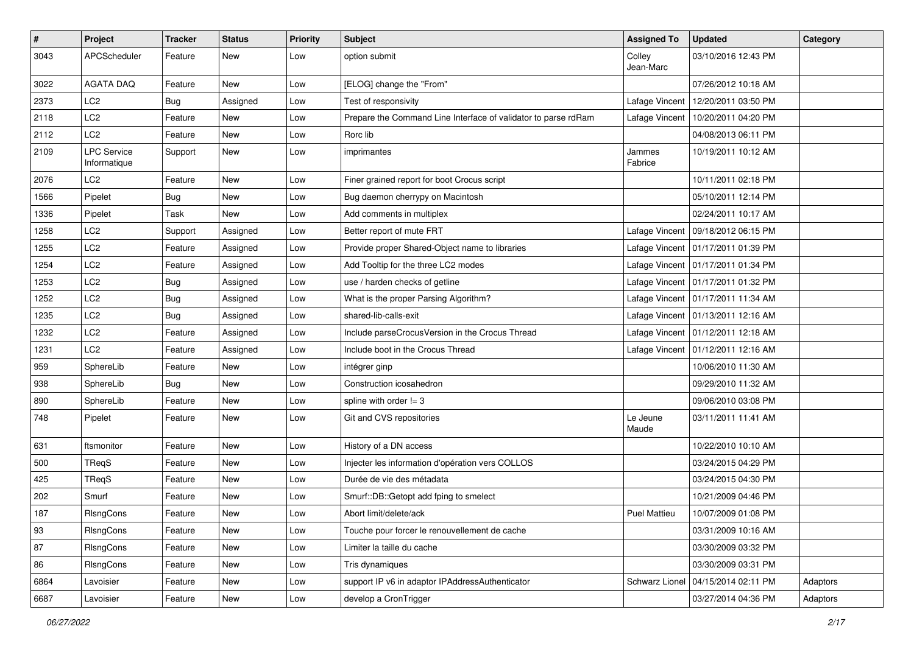| $\vert$ # | Project                            | <b>Tracker</b> | <b>Status</b> | <b>Priority</b> | <b>Subject</b>                                                 | <b>Assigned To</b>  | <b>Updated</b>                       | Category |
|-----------|------------------------------------|----------------|---------------|-----------------|----------------------------------------------------------------|---------------------|--------------------------------------|----------|
| 3043      | APCScheduler                       | Feature        | New           | Low             | option submit                                                  | Colley<br>Jean-Marc | 03/10/2016 12:43 PM                  |          |
| 3022      | <b>AGATA DAQ</b>                   | Feature        | <b>New</b>    | Low             | [ELOG] change the "From"                                       |                     | 07/26/2012 10:18 AM                  |          |
| 2373      | LC <sub>2</sub>                    | <b>Bug</b>     | Assigned      | Low             | Test of responsivity                                           | Lafage Vincent      | 12/20/2011 03:50 PM                  |          |
| 2118      | LC2                                | Feature        | <b>New</b>    | Low             | Prepare the Command Line Interface of validator to parse rdRam | Lafage Vincent      | 10/20/2011 04:20 PM                  |          |
| 2112      | LC <sub>2</sub>                    | Feature        | New           | Low             | Rorc lib                                                       |                     | 04/08/2013 06:11 PM                  |          |
| 2109      | <b>LPC Service</b><br>Informatique | Support        | New           | Low             | imprimantes                                                    | Jammes<br>Fabrice   | 10/19/2011 10:12 AM                  |          |
| 2076      | LC <sub>2</sub>                    | Feature        | <b>New</b>    | Low             | Finer grained report for boot Crocus script                    |                     | 10/11/2011 02:18 PM                  |          |
| 1566      | Pipelet                            | Bug            | <b>New</b>    | Low             | Bug daemon cherrypy on Macintosh                               |                     | 05/10/2011 12:14 PM                  |          |
| 1336      | Pipelet                            | <b>Task</b>    | <b>New</b>    | Low             | Add comments in multiplex                                      |                     | 02/24/2011 10:17 AM                  |          |
| 1258      | LC2                                | Support        | Assigned      | Low             | Better report of mute FRT                                      | Lafage Vincent      | 09/18/2012 06:15 PM                  |          |
| 1255      | LC2                                | Feature        | Assigned      | Low             | Provide proper Shared-Object name to libraries                 |                     | Lafage Vincent   01/17/2011 01:39 PM |          |
| 1254      | LC <sub>2</sub>                    | Feature        | Assigned      | Low             | Add Tooltip for the three LC2 modes                            |                     | Lafage Vincent   01/17/2011 01:34 PM |          |
| 1253      | LC <sub>2</sub>                    | <b>Bug</b>     | Assigned      | Low             | use / harden checks of getline                                 |                     | Lafage Vincent   01/17/2011 01:32 PM |          |
| 1252      | LC2                                | Bug            | Assigned      | Low             | What is the proper Parsing Algorithm?                          |                     | Lafage Vincent   01/17/2011 11:34 AM |          |
| 1235      | LC <sub>2</sub>                    | <b>Bug</b>     | Assigned      | Low             | shared-lib-calls-exit                                          |                     | Lafage Vincent   01/13/2011 12:16 AM |          |
| 1232      | LC2                                | Feature        | Assigned      | Low             | Include parseCrocusVersion in the Crocus Thread                |                     | Lafage Vincent   01/12/2011 12:18 AM |          |
| 1231      | LC2                                | Feature        | Assigned      | Low             | Include boot in the Crocus Thread                              |                     | Lafage Vincent   01/12/2011 12:16 AM |          |
| 959       | SphereLib                          | Feature        | <b>New</b>    | Low             | intégrer ginp                                                  |                     | 10/06/2010 11:30 AM                  |          |
| 938       | SphereLib                          | Bug            | New           | Low             | Construction icosahedron                                       |                     | 09/29/2010 11:32 AM                  |          |
| 890       | SphereLib                          | Feature        | New           | Low             | spline with order $!= 3$                                       |                     | 09/06/2010 03:08 PM                  |          |
| 748       | Pipelet                            | Feature        | <b>New</b>    | Low             | Git and CVS repositories                                       | Le Jeune<br>Maude   | 03/11/2011 11:41 AM                  |          |
| 631       | ftsmonitor                         | Feature        | <b>New</b>    | Low             | History of a DN access                                         |                     | 10/22/2010 10:10 AM                  |          |
| 500       | TReqS                              | Feature        | New           | Low             | Injecter les information d'opération vers COLLOS               |                     | 03/24/2015 04:29 PM                  |          |
| 425       | TReqS                              | Feature        | New           | Low             | Durée de vie des métadata                                      |                     | 03/24/2015 04:30 PM                  |          |
| 202       | Smurf                              | Feature        | <b>New</b>    | Low             | Smurf::DB::Getopt add fping to smelect                         |                     | 10/21/2009 04:46 PM                  |          |
| 187       | <b>RIsngCons</b>                   | Feature        | New           | Low             | Abort limit/delete/ack                                         | <b>Puel Mattieu</b> | 10/07/2009 01:08 PM                  |          |
| 93        | RIsngCons                          | Feature        | New           | Low             | Touche pour forcer le renouvellement de cache                  |                     | 03/31/2009 10:16 AM                  |          |
| 87        | RIsngCons                          | Feature        | <b>New</b>    | Low             | Limiter la taille du cache                                     |                     | 03/30/2009 03:32 PM                  |          |
| 86        | RIsngCons                          | Feature        | New           | Low             | Tris dynamiques                                                |                     | 03/30/2009 03:31 PM                  |          |
| 6864      | Lavoisier                          | Feature        | New           | Low             | support IP v6 in adaptor IPAddressAuthenticator                | Schwarz Lionel      | 04/15/2014 02:11 PM                  | Adaptors |
| 6687      | Lavoisier                          | Feature        | New           | Low             | develop a CronTrigger                                          |                     | 03/27/2014 04:36 PM                  | Adaptors |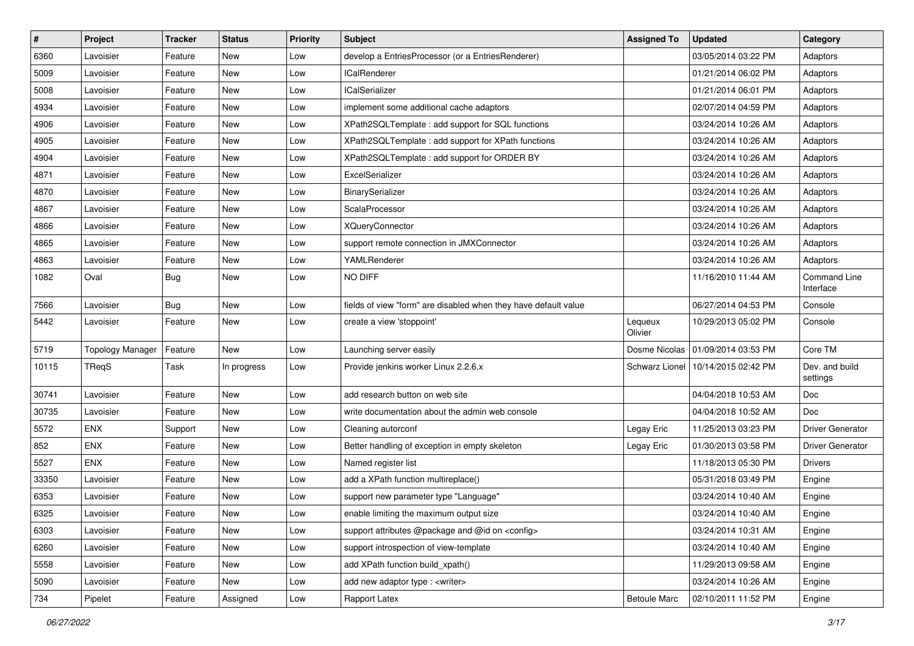| $\sharp$ | Project                 | <b>Tracker</b> | <b>Status</b> | <b>Priority</b> | Subject                                                         | <b>Assigned To</b>  | <b>Updated</b>                       | Category                   |
|----------|-------------------------|----------------|---------------|-----------------|-----------------------------------------------------------------|---------------------|--------------------------------------|----------------------------|
| 6360     | Lavoisier               | Feature        | New           | Low             | develop a EntriesProcessor (or a EntriesRenderer)               |                     | 03/05/2014 03:22 PM                  | Adaptors                   |
| 5009     | Lavoisier               | Feature        | <b>New</b>    | Low             | <b>ICalRenderer</b>                                             |                     | 01/21/2014 06:02 PM                  | Adaptors                   |
| 5008     | Lavoisier               | Feature        | New           | Low             | <b>ICalSerializer</b>                                           |                     | 01/21/2014 06:01 PM                  | Adaptors                   |
| 4934     | Lavoisier               | Feature        | <b>New</b>    | Low             | implement some additional cache adaptors                        |                     | 02/07/2014 04:59 PM                  | Adaptors                   |
| 4906     | Lavoisier               | Feature        | <b>New</b>    | Low             | XPath2SQLTemplate : add support for SQL functions               |                     | 03/24/2014 10:26 AM                  | Adaptors                   |
| 4905     | Lavoisier               | Feature        | New           | Low             | XPath2SQLTemplate: add support for XPath functions              |                     | 03/24/2014 10:26 AM                  | Adaptors                   |
| 4904     | Lavoisier               | Feature        | <b>New</b>    | Low             | XPath2SQLTemplate : add support for ORDER BY                    |                     | 03/24/2014 10:26 AM                  | Adaptors                   |
| 4871     | Lavoisier               | Feature        | New           | Low             | ExcelSerializer                                                 |                     | 03/24/2014 10:26 AM                  | Adaptors                   |
| 4870     | Lavoisier               | Feature        | New           | Low             | BinarySerializer                                                |                     | 03/24/2014 10:26 AM                  | Adaptors                   |
| 4867     | Lavoisier               | Feature        | New           | Low             | ScalaProcessor                                                  |                     | 03/24/2014 10:26 AM                  | Adaptors                   |
| 4866     | Lavoisier               | Feature        | New           | Low             | <b>XQueryConnector</b>                                          |                     | 03/24/2014 10:26 AM                  | Adaptors                   |
| 4865     | Lavoisier               | Feature        | <b>New</b>    | Low             | support remote connection in JMXConnector                       |                     | 03/24/2014 10:26 AM                  | Adaptors                   |
| 4863     | Lavoisier               | Feature        | New           | Low             | YAMLRenderer                                                    |                     | 03/24/2014 10:26 AM                  | Adaptors                   |
| 1082     | Oval                    | <b>Bug</b>     | New           | Low             | NO DIFF                                                         |                     | 11/16/2010 11:44 AM                  | Command Line<br>Interface  |
| 7566     | Lavoisier               | Bug            | <b>New</b>    | Low             | fields of view "form" are disabled when they have default value |                     | 06/27/2014 04:53 PM                  | Console                    |
| 5442     | Lavoisier               | Feature        | New           | Low             | create a view 'stoppoint'                                       | Lequeux<br>Olivier  | 10/29/2013 05:02 PM                  | Console                    |
| 5719     | <b>Topology Manager</b> | Feature        | <b>New</b>    | Low             | Launching server easily                                         |                     | Dosme Nicolas   01/09/2014 03:53 PM  | Core TM                    |
| 10115    | TReqS                   | Task           | In progress   | Low             | Provide jenkins worker Linux 2.2.6.x                            |                     | Schwarz Lionel   10/14/2015 02:42 PM | Dev. and build<br>settings |
| 30741    | Lavoisier               | Feature        | New           | Low             | add research button on web site                                 |                     | 04/04/2018 10:53 AM                  | <b>Doc</b>                 |
| 30735    | Lavoisier               | Feature        | <b>New</b>    | Low             | write documentation about the admin web console                 |                     | 04/04/2018 10:52 AM                  | <b>Doc</b>                 |
| 5572     | <b>ENX</b>              | Support        | New           | Low             | Cleaning autorconf                                              | Legay Eric          | 11/25/2013 03:23 PM                  | <b>Driver Generator</b>    |
| 852      | <b>ENX</b>              | Feature        | <b>New</b>    | Low             | Better handling of exception in empty skeleton                  | Legay Eric          | 01/30/2013 03:58 PM                  | <b>Driver Generator</b>    |
| 5527     | <b>ENX</b>              | Feature        | <b>New</b>    | Low             | Named register list                                             |                     | 11/18/2013 05:30 PM                  | <b>Drivers</b>             |
| 33350    | Lavoisier               | Feature        | New           | Low             | add a XPath function multireplace()                             |                     | 05/31/2018 03:49 PM                  | Engine                     |
| 6353     | Lavoisier               | Feature        | <b>New</b>    | Low             | support new parameter type "Language"                           |                     | 03/24/2014 10:40 AM                  | Engine                     |
| 6325     | Lavoisier               | Feature        | New           | Low             | enable limiting the maximum output size                         |                     | 03/24/2014 10:40 AM                  | Engine                     |
| 6303     | Lavoisier               | Feature        | New           | Low             | support attributes @package and @id on <config></config>        |                     | 03/24/2014 10:31 AM                  | Engine                     |
| 6260     | Lavoisier               | Feature        | New           | Low             | support introspection of view-template                          |                     | 03/24/2014 10:40 AM                  | Engine                     |
| 5558     | Lavoisier               | Feature        | New           | Low             | add XPath function build_xpath()                                |                     | 11/29/2013 09:58 AM                  | Engine                     |
| 5090     | Lavoisier               | Feature        | New           | Low             | add new adaptor type : < writer >                               |                     | 03/24/2014 10:26 AM                  | Engine                     |
| 734      | Pipelet                 | Feature        | Assigned      | Low             | Rapport Latex                                                   | <b>Betoule Marc</b> | 02/10/2011 11:52 PM                  | Engine                     |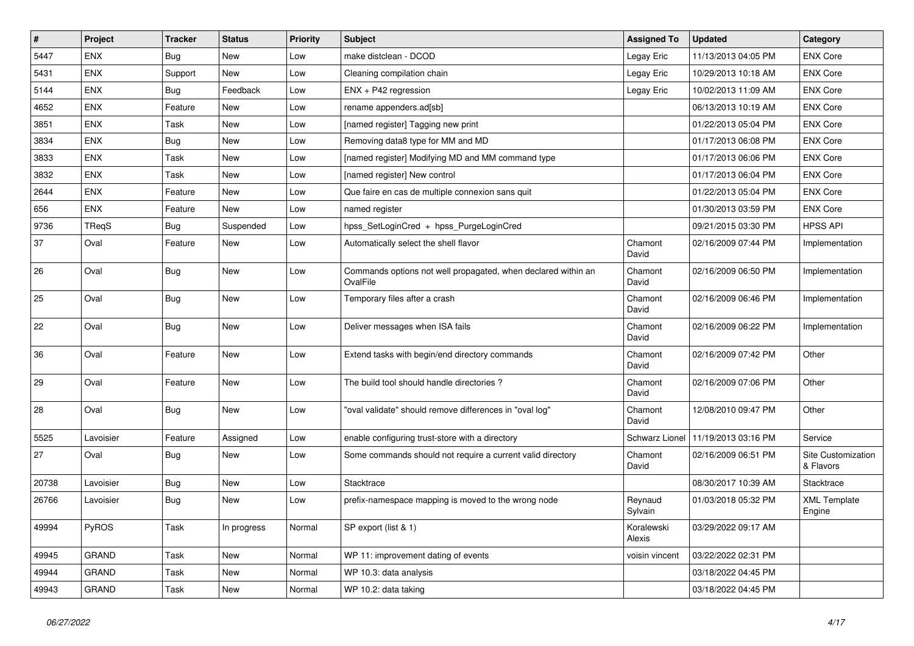| $\pmb{\sharp}$ | Project    | <b>Tracker</b> | <b>Status</b> | <b>Priority</b> | Subject                                                                   | <b>Assigned To</b>   | <b>Updated</b>      | Category                        |
|----------------|------------|----------------|---------------|-----------------|---------------------------------------------------------------------------|----------------------|---------------------|---------------------------------|
| 5447           | <b>ENX</b> | Bug            | New           | Low             | make distclean - DCOD                                                     | Legay Eric           | 11/13/2013 04:05 PM | <b>ENX Core</b>                 |
| 5431           | <b>ENX</b> | Support        | <b>New</b>    | Low             | Cleaning compilation chain                                                | Legay Eric           | 10/29/2013 10:18 AM | <b>ENX Core</b>                 |
| 5144           | <b>ENX</b> | Bug            | Feedback      | Low             | $ENX + P42$ regression                                                    | Legay Eric           | 10/02/2013 11:09 AM | <b>ENX Core</b>                 |
| 4652           | <b>ENX</b> | Feature        | New           | Low             | rename appenders.ad[sb]                                                   |                      | 06/13/2013 10:19 AM | <b>ENX Core</b>                 |
| 3851           | ENX        | Task           | <b>New</b>    | Low             | [named register] Tagging new print                                        |                      | 01/22/2013 05:04 PM | <b>ENX Core</b>                 |
| 3834           | <b>ENX</b> | Bug            | New           | Low             | Removing data8 type for MM and MD                                         |                      | 01/17/2013 06:08 PM | <b>ENX Core</b>                 |
| 3833           | <b>ENX</b> | Task           | <b>New</b>    | Low             | [named register] Modifying MD and MM command type                         |                      | 01/17/2013 06:06 PM | <b>ENX Core</b>                 |
| 3832           | <b>ENX</b> | Task           | <b>New</b>    | Low             | [named register] New control                                              |                      | 01/17/2013 06:04 PM | <b>ENX Core</b>                 |
| 2644           | <b>ENX</b> | Feature        | New           | Low             | Que faire en cas de multiple connexion sans quit                          |                      | 01/22/2013 05:04 PM | <b>ENX Core</b>                 |
| 656            | <b>ENX</b> | Feature        | <b>New</b>    | Low             | named register                                                            |                      | 01/30/2013 03:59 PM | <b>ENX Core</b>                 |
| 9736           | TReqS      | Bug            | Suspended     | Low             | hpss_SetLoginCred + hpss_PurgeLoginCred                                   |                      | 09/21/2015 03:30 PM | <b>HPSS API</b>                 |
| 37             | Oval       | Feature        | New           | Low             | Automatically select the shell flavor                                     | Chamont<br>David     | 02/16/2009 07:44 PM | Implementation                  |
| 26             | Oval       | Bug            | <b>New</b>    | Low             | Commands options not well propagated, when declared within an<br>OvalFile | Chamont<br>David     | 02/16/2009 06:50 PM | Implementation                  |
| 25             | Oval       | Bug            | <b>New</b>    | Low             | Temporary files after a crash                                             | Chamont<br>David     | 02/16/2009 06:46 PM | Implementation                  |
| 22             | Oval       | <b>Bug</b>     | <b>New</b>    | Low             | Deliver messages when ISA fails                                           | Chamont<br>David     | 02/16/2009 06:22 PM | Implementation                  |
| 36             | Oval       | Feature        | <b>New</b>    | Low             | Extend tasks with begin/end directory commands                            | Chamont<br>David     | 02/16/2009 07:42 PM | Other                           |
| 29             | Oval       | Feature        | <b>New</b>    | Low             | The build tool should handle directories?                                 | Chamont<br>David     | 02/16/2009 07:06 PM | Other                           |
| 28             | Oval       | Bug            | New           | Low             | "oval validate" should remove differences in "oval log"                   | Chamont<br>David     | 12/08/2010 09:47 PM | Other                           |
| 5525           | Lavoisier  | Feature        | Assigned      | Low             | enable configuring trust-store with a directory                           | Schwarz Lionel       | 11/19/2013 03:16 PM | Service                         |
| 27             | Oval       | Bug            | <b>New</b>    | Low             | Some commands should not require a current valid directory                | Chamont<br>David     | 02/16/2009 06:51 PM | Site Customization<br>& Flavors |
| 20738          | Lavoisier  | <b>Bug</b>     | <b>New</b>    | Low             | Stacktrace                                                                |                      | 08/30/2017 10:39 AM | Stacktrace                      |
| 26766          | Lavoisier  | Bug            | <b>New</b>    | Low             | prefix-namespace mapping is moved to the wrong node                       | Reynaud<br>Sylvain   | 01/03/2018 05:32 PM | <b>XML Template</b><br>Engine   |
| 49994          | PyROS      | Task           | In progress   | Normal          | SP export (list & 1)                                                      | Koralewski<br>Alexis | 03/29/2022 09:17 AM |                                 |
| 49945          | GRAND      | Task           | New           | Normal          | WP 11: improvement dating of events                                       | voisin vincent       | 03/22/2022 02:31 PM |                                 |
| 49944          | GRAND      | Task           | New           | Normal          | WP 10.3: data analysis                                                    |                      | 03/18/2022 04:45 PM |                                 |
| 49943          | GRAND      | Task           | New           | Normal          | WP 10.2: data taking                                                      |                      | 03/18/2022 04:45 PM |                                 |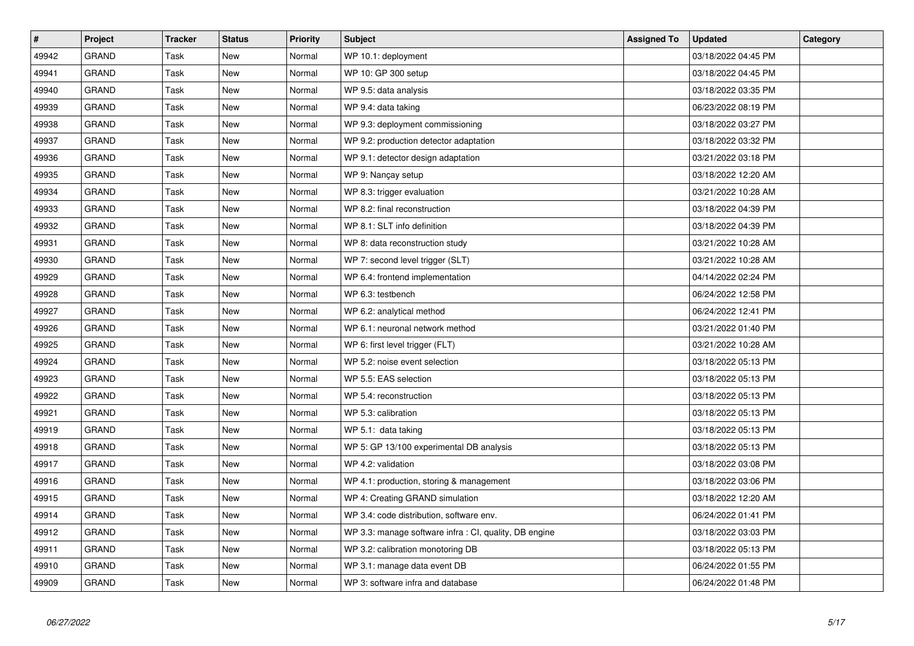| $\pmb{\#}$ | <b>Project</b> | <b>Tracker</b> | <b>Status</b> | <b>Priority</b> | <b>Subject</b>                                         | <b>Assigned To</b> | <b>Updated</b>      | Category |
|------------|----------------|----------------|---------------|-----------------|--------------------------------------------------------|--------------------|---------------------|----------|
| 49942      | <b>GRAND</b>   | Task           | New           | Normal          | WP 10.1: deployment                                    |                    | 03/18/2022 04:45 PM |          |
| 49941      | <b>GRAND</b>   | Task           | <b>New</b>    | Normal          | WP 10: GP 300 setup                                    |                    | 03/18/2022 04:45 PM |          |
| 49940      | <b>GRAND</b>   | Task           | New           | Normal          | WP 9.5: data analysis                                  |                    | 03/18/2022 03:35 PM |          |
| 49939      | <b>GRAND</b>   | Task           | <b>New</b>    | Normal          | WP 9.4: data taking                                    |                    | 06/23/2022 08:19 PM |          |
| 49938      | <b>GRAND</b>   | Task           | <b>New</b>    | Normal          | WP 9.3: deployment commissioning                       |                    | 03/18/2022 03:27 PM |          |
| 49937      | <b>GRAND</b>   | Task           | <b>New</b>    | Normal          | WP 9.2: production detector adaptation                 |                    | 03/18/2022 03:32 PM |          |
| 49936      | <b>GRAND</b>   | Task           | New           | Normal          | WP 9.1: detector design adaptation                     |                    | 03/21/2022 03:18 PM |          |
| 49935      | GRAND          | Task           | New           | Normal          | WP 9: Nançay setup                                     |                    | 03/18/2022 12:20 AM |          |
| 49934      | <b>GRAND</b>   | Task           | New           | Normal          | WP 8.3: trigger evaluation                             |                    | 03/21/2022 10:28 AM |          |
| 49933      | <b>GRAND</b>   | Task           | New           | Normal          | WP 8.2: final reconstruction                           |                    | 03/18/2022 04:39 PM |          |
| 49932      | <b>GRAND</b>   | Task           | New           | Normal          | WP 8.1: SLT info definition                            |                    | 03/18/2022 04:39 PM |          |
| 49931      | <b>GRAND</b>   | Task           | New           | Normal          | WP 8: data reconstruction study                        |                    | 03/21/2022 10:28 AM |          |
| 49930      | <b>GRAND</b>   | Task           | New           | Normal          | WP 7: second level trigger (SLT)                       |                    | 03/21/2022 10:28 AM |          |
| 49929      | <b>GRAND</b>   | Task           | New           | Normal          | WP 6.4: frontend implementation                        |                    | 04/14/2022 02:24 PM |          |
| 49928      | <b>GRAND</b>   | Task           | New           | Normal          | WP 6.3: testbench                                      |                    | 06/24/2022 12:58 PM |          |
| 49927      | <b>GRAND</b>   | Task           | New           | Normal          | WP 6.2: analytical method                              |                    | 06/24/2022 12:41 PM |          |
| 49926      | <b>GRAND</b>   | Task           | <b>New</b>    | Normal          | WP 6.1: neuronal network method                        |                    | 03/21/2022 01:40 PM |          |
| 49925      | GRAND          | Task           | New           | Normal          | WP 6: first level trigger (FLT)                        |                    | 03/21/2022 10:28 AM |          |
| 49924      | GRAND          | Task           | New           | Normal          | WP 5.2: noise event selection                          |                    | 03/18/2022 05:13 PM |          |
| 49923      | <b>GRAND</b>   | Task           | New           | Normal          | WP 5.5: EAS selection                                  |                    | 03/18/2022 05:13 PM |          |
| 49922      | <b>GRAND</b>   | Task           | <b>New</b>    | Normal          | WP 5.4: reconstruction                                 |                    | 03/18/2022 05:13 PM |          |
| 49921      | GRAND          | Task           | New           | Normal          | WP 5.3: calibration                                    |                    | 03/18/2022 05:13 PM |          |
| 49919      | GRAND          | Task           | New           | Normal          | WP 5.1: data taking                                    |                    | 03/18/2022 05:13 PM |          |
| 49918      | <b>GRAND</b>   | Task           | New           | Normal          | WP 5: GP 13/100 experimental DB analysis               |                    | 03/18/2022 05:13 PM |          |
| 49917      | <b>GRAND</b>   | Task           | <b>New</b>    | Normal          | WP 4.2: validation                                     |                    | 03/18/2022 03:08 PM |          |
| 49916      | <b>GRAND</b>   | Task           | New           | Normal          | WP 4.1: production, storing & management               |                    | 03/18/2022 03:06 PM |          |
| 49915      | <b>GRAND</b>   | Task           | New           | Normal          | WP 4: Creating GRAND simulation                        |                    | 03/18/2022 12:20 AM |          |
| 49914      | <b>GRAND</b>   | Task           | New           | Normal          | WP 3.4: code distribution, software env.               |                    | 06/24/2022 01:41 PM |          |
| 49912      | <b>GRAND</b>   | Task           | New           | Normal          | WP 3.3: manage software infra : CI, quality, DB engine |                    | 03/18/2022 03:03 PM |          |
| 49911      | <b>GRAND</b>   | Task           | New           | Normal          | WP 3.2: calibration monotoring DB                      |                    | 03/18/2022 05:13 PM |          |
| 49910      | GRAND          | Task           | New           | Normal          | WP 3.1: manage data event DB                           |                    | 06/24/2022 01:55 PM |          |
| 49909      | <b>GRAND</b>   | Task           | <b>New</b>    | Normal          | WP 3: software infra and database                      |                    | 06/24/2022 01:48 PM |          |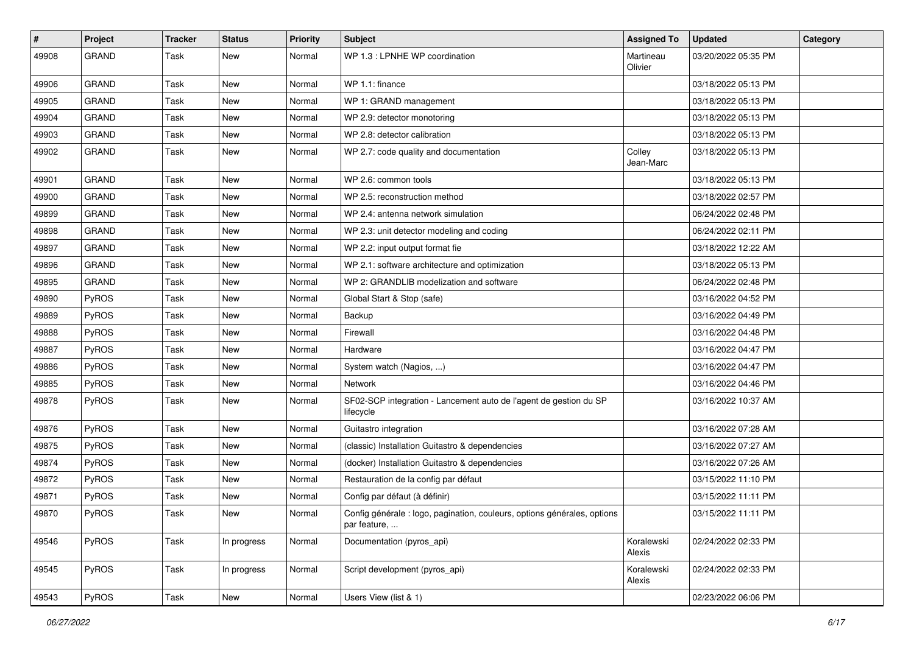| #     | Project      | <b>Tracker</b> | <b>Status</b> | <b>Priority</b> | <b>Subject</b>                                                                           | <b>Assigned To</b>   | <b>Updated</b>      | Category |
|-------|--------------|----------------|---------------|-----------------|------------------------------------------------------------------------------------------|----------------------|---------------------|----------|
| 49908 | <b>GRAND</b> | Task           | New           | Normal          | WP 1.3 : LPNHE WP coordination                                                           | Martineau<br>Olivier | 03/20/2022 05:35 PM |          |
| 49906 | <b>GRAND</b> | <b>Task</b>    | <b>New</b>    | Normal          | WP 1.1: finance                                                                          |                      | 03/18/2022 05:13 PM |          |
| 49905 | <b>GRAND</b> | <b>Task</b>    | New           | Normal          | WP 1: GRAND management                                                                   |                      | 03/18/2022 05:13 PM |          |
| 49904 | <b>GRAND</b> | Task           | New           | Normal          | WP 2.9: detector monotoring                                                              |                      | 03/18/2022 05:13 PM |          |
| 49903 | <b>GRAND</b> | Task           | <b>New</b>    | Normal          | WP 2.8: detector calibration                                                             |                      | 03/18/2022 05:13 PM |          |
| 49902 | <b>GRAND</b> | Task           | New           | Normal          | WP 2.7: code quality and documentation                                                   | Colley<br>Jean-Marc  | 03/18/2022 05:13 PM |          |
| 49901 | <b>GRAND</b> | <b>Task</b>    | <b>New</b>    | Normal          | WP 2.6: common tools                                                                     |                      | 03/18/2022 05:13 PM |          |
| 49900 | <b>GRAND</b> | <b>Task</b>    | <b>New</b>    | Normal          | WP 2.5: reconstruction method                                                            |                      | 03/18/2022 02:57 PM |          |
| 49899 | <b>GRAND</b> | Task           | <b>New</b>    | Normal          | WP 2.4: antenna network simulation                                                       |                      | 06/24/2022 02:48 PM |          |
| 49898 | <b>GRAND</b> | <b>Task</b>    | New           | Normal          | WP 2.3: unit detector modeling and coding                                                |                      | 06/24/2022 02:11 PM |          |
| 49897 | <b>GRAND</b> | Task           | New           | Normal          | WP 2.2: input output format fie                                                          |                      | 03/18/2022 12:22 AM |          |
| 49896 | <b>GRAND</b> | Task           | <b>New</b>    | Normal          | WP 2.1: software architecture and optimization                                           |                      | 03/18/2022 05:13 PM |          |
| 49895 | <b>GRAND</b> | Task           | <b>New</b>    | Normal          | WP 2: GRANDLIB modelization and software                                                 |                      | 06/24/2022 02:48 PM |          |
| 49890 | <b>PyROS</b> | Task           | New           | Normal          | Global Start & Stop (safe)                                                               |                      | 03/16/2022 04:52 PM |          |
| 49889 | PyROS        | Task           | <b>New</b>    | Normal          | Backup                                                                                   |                      | 03/16/2022 04:49 PM |          |
| 49888 | PyROS        | Task           | New           | Normal          | Firewall                                                                                 |                      | 03/16/2022 04:48 PM |          |
| 49887 | PyROS        | Task           | New           | Normal          | Hardware                                                                                 |                      | 03/16/2022 04:47 PM |          |
| 49886 | PyROS        | <b>Task</b>    | <b>New</b>    | Normal          | System watch (Nagios, )                                                                  |                      | 03/16/2022 04:47 PM |          |
| 49885 | PyROS        | Task           | New           | Normal          | Network                                                                                  |                      | 03/16/2022 04:46 PM |          |
| 49878 | PyROS        | Task           | New           | Normal          | SF02-SCP integration - Lancement auto de l'agent de gestion du SP<br>lifecycle           |                      | 03/16/2022 10:37 AM |          |
| 49876 | <b>PyROS</b> | Task           | <b>New</b>    | Normal          | Guitastro integration                                                                    |                      | 03/16/2022 07:28 AM |          |
| 49875 | PyROS        | Task           | <b>New</b>    | Normal          | (classic) Installation Guitastro & dependencies                                          |                      | 03/16/2022 07:27 AM |          |
| 49874 | PyROS        | Task           | New           | Normal          | (docker) Installation Guitastro & dependencies                                           |                      | 03/16/2022 07:26 AM |          |
| 49872 | PyROS        | Task           | New           | Normal          | Restauration de la config par défaut                                                     |                      | 03/15/2022 11:10 PM |          |
| 49871 | PyROS        | Task           | <b>New</b>    | Normal          | Config par défaut (à définir)                                                            |                      | 03/15/2022 11:11 PM |          |
| 49870 | PyROS        | Task           | New           | Normal          | Config générale : logo, pagination, couleurs, options générales, options<br>par feature, |                      | 03/15/2022 11:11 PM |          |
| 49546 | PyROS        | Task           | In progress   | Normal          | Documentation (pyros_api)                                                                | Koralewski<br>Alexis | 02/24/2022 02:33 PM |          |
| 49545 | PyROS        | Task           | In progress   | Normal          | Script development (pyros_api)                                                           | Koralewski<br>Alexis | 02/24/2022 02:33 PM |          |
| 49543 | PyROS        | Task           | New           | Normal          | Users View (list & 1)                                                                    |                      | 02/23/2022 06:06 PM |          |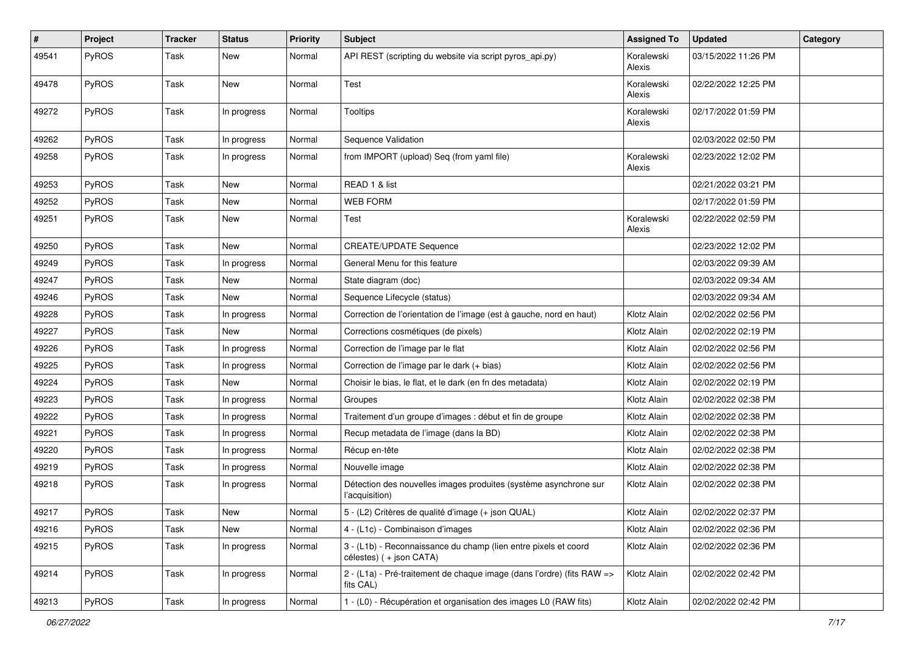| $\#$  | Project      | <b>Tracker</b> | <b>Status</b> | <b>Priority</b> | <b>Subject</b>                                                                             | <b>Assigned To</b>   | <b>Updated</b>      | Category |
|-------|--------------|----------------|---------------|-----------------|--------------------------------------------------------------------------------------------|----------------------|---------------------|----------|
| 49541 | <b>PyROS</b> | Task           | New           | Normal          | API REST (scripting du website via script pyros_api.py)                                    | Koralewski<br>Alexis | 03/15/2022 11:26 PM |          |
| 49478 | <b>PyROS</b> | Task           | New           | Normal          | Test                                                                                       | Koralewski<br>Alexis | 02/22/2022 12:25 PM |          |
| 49272 | <b>PyROS</b> | Task           | In progress   | Normal          | <b>Tooltips</b>                                                                            | Koralewski<br>Alexis | 02/17/2022 01:59 PM |          |
| 49262 | PyROS        | Task           | In progress   | Normal          | Sequence Validation                                                                        |                      | 02/03/2022 02:50 PM |          |
| 49258 | <b>PyROS</b> | Task           | In progress   | Normal          | from IMPORT (upload) Seq (from yaml file)                                                  | Koralewski<br>Alexis | 02/23/2022 12:02 PM |          |
| 49253 | PyROS        | Task           | <b>New</b>    | Normal          | READ 1 & list                                                                              |                      | 02/21/2022 03:21 PM |          |
| 49252 | <b>PyROS</b> | Task           | New           | Normal          | WEB FORM                                                                                   |                      | 02/17/2022 01:59 PM |          |
| 49251 | <b>PyROS</b> | Task           | <b>New</b>    | Normal          | Test                                                                                       | Koralewski<br>Alexis | 02/22/2022 02:59 PM |          |
| 49250 | PyROS        | Task           | New           | Normal          | <b>CREATE/UPDATE Sequence</b>                                                              |                      | 02/23/2022 12:02 PM |          |
| 49249 | PyROS        | Task           | In progress   | Normal          | General Menu for this feature                                                              |                      | 02/03/2022 09:39 AM |          |
| 49247 | <b>PyROS</b> | Task           | New           | Normal          | State diagram (doc)                                                                        |                      | 02/03/2022 09:34 AM |          |
| 49246 | <b>PyROS</b> | Task           | New           | Normal          | Sequence Lifecycle (status)                                                                |                      | 02/03/2022 09:34 AM |          |
| 49228 | <b>PyROS</b> | Task           | In progress   | Normal          | Correction de l'orientation de l'image (est à gauche, nord en haut)                        | Klotz Alain          | 02/02/2022 02:56 PM |          |
| 49227 | <b>PyROS</b> | Task           | New           | Normal          | Corrections cosmétiques (de pixels)                                                        | Klotz Alain          | 02/02/2022 02:19 PM |          |
| 49226 | <b>PyROS</b> | Task           | In progress   | Normal          | Correction de l'image par le flat                                                          | Klotz Alain          | 02/02/2022 02:56 PM |          |
| 49225 | <b>PyROS</b> | Task           | In progress   | Normal          | Correction de l'image par le dark (+ bias)                                                 | Klotz Alain          | 02/02/2022 02:56 PM |          |
| 49224 | <b>PyROS</b> | Task           | New           | Normal          | Choisir le bias, le flat, et le dark (en fn des metadata)                                  | Klotz Alain          | 02/02/2022 02:19 PM |          |
| 49223 | PyROS        | Task           | In progress   | Normal          | Groupes                                                                                    | Klotz Alain          | 02/02/2022 02:38 PM |          |
| 49222 | <b>PyROS</b> | Task           | In progress   | Normal          | Traitement d'un groupe d'images : début et fin de groupe                                   | Klotz Alain          | 02/02/2022 02:38 PM |          |
| 49221 | PyROS        | Task           | In progress   | Normal          | Recup metadata de l'image (dans la BD)                                                     | Klotz Alain          | 02/02/2022 02:38 PM |          |
| 49220 | <b>PyROS</b> | Task           | In progress   | Normal          | Récup en-tête                                                                              | Klotz Alain          | 02/02/2022 02:38 PM |          |
| 49219 | <b>PyROS</b> | Task           | In progress   | Normal          | Nouvelle image                                                                             | Klotz Alain          | 02/02/2022 02:38 PM |          |
| 49218 | PyROS        | Task           | In progress   | Normal          | Détection des nouvelles images produites (système asynchrone sur<br>l'acquisition)         | Klotz Alain          | 02/02/2022 02:38 PM |          |
| 49217 | PyROS        | Task           | New           | Normal          | 5 - (L2) Critères de qualité d'image (+ json QUAL)                                         | Klotz Alain          | 02/02/2022 02:37 PM |          |
| 49216 | PyROS        | Task           | New           | Normal          | 4 - (L1c) - Combinaison d'images                                                           | Klotz Alain          | 02/02/2022 02:36 PM |          |
| 49215 | PyROS        | Task           | In progress   | Normal          | 3 - (L1b) - Reconnaissance du champ (lien entre pixels et coord<br>célestes) (+ json CATA) | Klotz Alain          | 02/02/2022 02:36 PM |          |
| 49214 | PyROS        | Task           | In progress   | Normal          | 2 - (L1a) - Pré-traitement de chaque image (dans l'ordre) (fits RAW =><br>fits CAL)        | Klotz Alain          | 02/02/2022 02:42 PM |          |
| 49213 | PyROS        | Task           | In progress   | Normal          | 1 - (L0) - Récupération et organisation des images L0 (RAW fits)                           | Klotz Alain          | 02/02/2022 02:42 PM |          |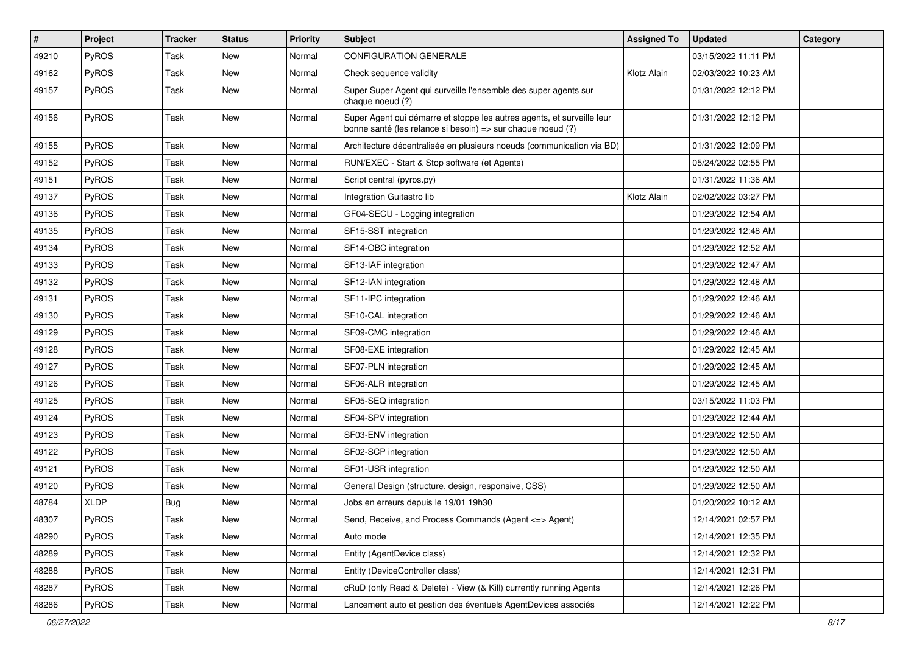| $\pmb{\#}$ | Project      | <b>Tracker</b> | <b>Status</b> | <b>Priority</b> | <b>Subject</b>                                                                                                                        | <b>Assigned To</b> | <b>Updated</b>      | Category |
|------------|--------------|----------------|---------------|-----------------|---------------------------------------------------------------------------------------------------------------------------------------|--------------------|---------------------|----------|
| 49210      | <b>PyROS</b> | Task           | <b>New</b>    | Normal          | <b>CONFIGURATION GENERALE</b>                                                                                                         |                    | 03/15/2022 11:11 PM |          |
| 49162      | PyROS        | Task           | <b>New</b>    | Normal          | Check sequence validity                                                                                                               | Klotz Alain        | 02/03/2022 10:23 AM |          |
| 49157      | PyROS        | Task           | <b>New</b>    | Normal          | Super Super Agent qui surveille l'ensemble des super agents sur<br>chaque noeud (?)                                                   |                    | 01/31/2022 12:12 PM |          |
| 49156      | PyROS        | Task           | <b>New</b>    | Normal          | Super Agent qui démarre et stoppe les autres agents, et surveille leur<br>bonne santé (les relance si besoin) => sur chaque noeud (?) |                    | 01/31/2022 12:12 PM |          |
| 49155      | PyROS        | Task           | New           | Normal          | Architecture décentralisée en plusieurs noeuds (communication via BD)                                                                 |                    | 01/31/2022 12:09 PM |          |
| 49152      | PyROS        | Task           | <b>New</b>    | Normal          | RUN/EXEC - Start & Stop software (et Agents)                                                                                          |                    | 05/24/2022 02:55 PM |          |
| 49151      | <b>PyROS</b> | Task           | <b>New</b>    | Normal          | Script central (pyros.py)                                                                                                             |                    | 01/31/2022 11:36 AM |          |
| 49137      | PyROS        | Task           | <b>New</b>    | Normal          | Integration Guitastro lib                                                                                                             | Klotz Alain        | 02/02/2022 03:27 PM |          |
| 49136      | PyROS        | Task           | <b>New</b>    | Normal          | GF04-SECU - Logging integration                                                                                                       |                    | 01/29/2022 12:54 AM |          |
| 49135      | PyROS        | Task           | <b>New</b>    | Normal          | SF15-SST integration                                                                                                                  |                    | 01/29/2022 12:48 AM |          |
| 49134      | PyROS        | Task           | <b>New</b>    | Normal          | SF14-OBC integration                                                                                                                  |                    | 01/29/2022 12:52 AM |          |
| 49133      | <b>PyROS</b> | Task           | <b>New</b>    | Normal          | SF13-IAF integration                                                                                                                  |                    | 01/29/2022 12:47 AM |          |
| 49132      | PyROS        | Task           | <b>New</b>    | Normal          | SF12-IAN integration                                                                                                                  |                    | 01/29/2022 12:48 AM |          |
| 49131      | PyROS        | Task           | New           | Normal          | SF11-IPC integration                                                                                                                  |                    | 01/29/2022 12:46 AM |          |
| 49130      | PyROS        | Task           | <b>New</b>    | Normal          | SF10-CAL integration                                                                                                                  |                    | 01/29/2022 12:46 AM |          |
| 49129      | PyROS        | Task           | <b>New</b>    | Normal          | SF09-CMC integration                                                                                                                  |                    | 01/29/2022 12:46 AM |          |
| 49128      | PyROS        | Task           | <b>New</b>    | Normal          | SF08-EXE integration                                                                                                                  |                    | 01/29/2022 12:45 AM |          |
| 49127      | PyROS        | Task           | <b>New</b>    | Normal          | SF07-PLN integration                                                                                                                  |                    | 01/29/2022 12:45 AM |          |
| 49126      | PyROS        | Task           | New           | Normal          | SF06-ALR integration                                                                                                                  |                    | 01/29/2022 12:45 AM |          |
| 49125      | <b>PyROS</b> | Task           | <b>New</b>    | Normal          | SF05-SEQ integration                                                                                                                  |                    | 03/15/2022 11:03 PM |          |
| 49124      | PyROS        | Task           | <b>New</b>    | Normal          | SF04-SPV integration                                                                                                                  |                    | 01/29/2022 12:44 AM |          |
| 49123      | PyROS        | Task           | <b>New</b>    | Normal          | SF03-ENV integration                                                                                                                  |                    | 01/29/2022 12:50 AM |          |
| 49122      | PyROS        | Task           | <b>New</b>    | Normal          | SF02-SCP integration                                                                                                                  |                    | 01/29/2022 12:50 AM |          |
| 49121      | PyROS        | Task           | <b>New</b>    | Normal          | SF01-USR integration                                                                                                                  |                    | 01/29/2022 12:50 AM |          |
| 49120      | <b>PyROS</b> | Task           | <b>New</b>    | Normal          | General Design (structure, design, responsive, CSS)                                                                                   |                    | 01/29/2022 12:50 AM |          |
| 48784      | <b>XLDP</b>  | <b>Bug</b>     | New           | Normal          | Jobs en erreurs depuis le 19/01 19h30                                                                                                 |                    | 01/20/2022 10:12 AM |          |
| 48307      | PyROS        | Task           | New           | Normal          | Send, Receive, and Process Commands (Agent <= > Agent)                                                                                |                    | 12/14/2021 02:57 PM |          |
| 48290      | PyROS        | Task           | New           | Normal          | Auto mode                                                                                                                             |                    | 12/14/2021 12:35 PM |          |
| 48289      | PyROS        | Task           | New           | Normal          | Entity (AgentDevice class)                                                                                                            |                    | 12/14/2021 12:32 PM |          |
| 48288      | PyROS        | Task           | New           | Normal          | Entity (DeviceController class)                                                                                                       |                    | 12/14/2021 12:31 PM |          |
| 48287      | PyROS        | Task           | New           | Normal          | cRuD (only Read & Delete) - View (& Kill) currently running Agents                                                                    |                    | 12/14/2021 12:26 PM |          |
| 48286      | PyROS        | Task           | New           | Normal          | Lancement auto et gestion des éventuels AgentDevices associés                                                                         |                    | 12/14/2021 12:22 PM |          |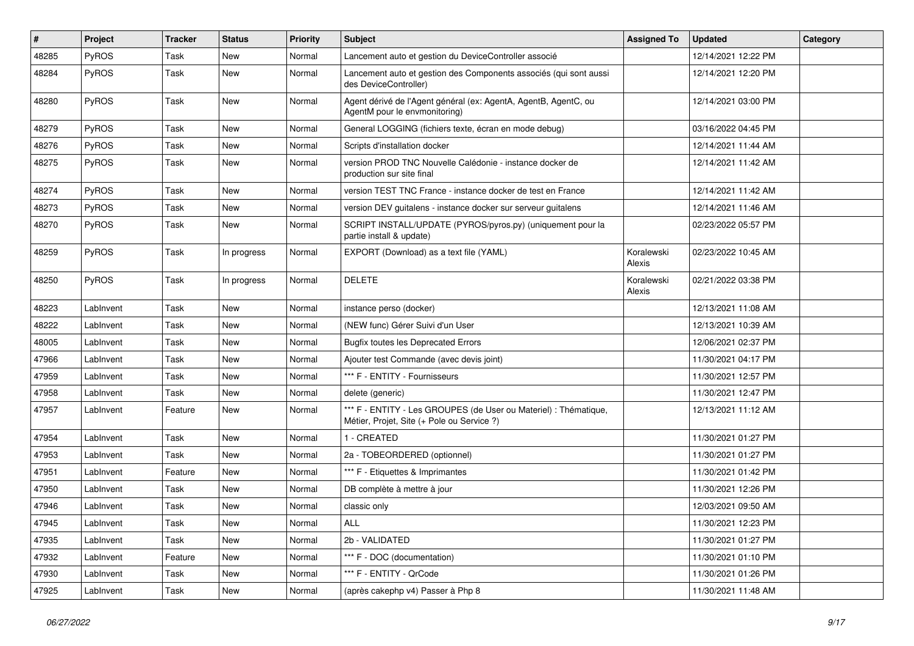| $\pmb{\#}$ | Project      | <b>Tracker</b> | <b>Status</b> | <b>Priority</b> | Subject                                                                                                        | <b>Assigned To</b>   | <b>Updated</b>      | Category |
|------------|--------------|----------------|---------------|-----------------|----------------------------------------------------------------------------------------------------------------|----------------------|---------------------|----------|
| 48285      | PyROS        | Task           | New           | Normal          | Lancement auto et gestion du DeviceController associé                                                          |                      | 12/14/2021 12:22 PM |          |
| 48284      | PyROS        | Task           | <b>New</b>    | Normal          | Lancement auto et gestion des Components associés (qui sont aussi<br>des DeviceController)                     |                      | 12/14/2021 12:20 PM |          |
| 48280      | PyROS        | Task           | <b>New</b>    | Normal          | Agent dérivé de l'Agent général (ex: AgentA, AgentB, AgentC, ou<br>AgentM pour le envmonitoring)               |                      | 12/14/2021 03:00 PM |          |
| 48279      | <b>PyROS</b> | Task           | New           | Normal          | General LOGGING (fichiers texte, écran en mode debug)                                                          |                      | 03/16/2022 04:45 PM |          |
| 48276      | PyROS        | Task           | New           | Normal          | Scripts d'installation docker                                                                                  |                      | 12/14/2021 11:44 AM |          |
| 48275      | PyROS        | Task           | New           | Normal          | version PROD TNC Nouvelle Calédonie - instance docker de<br>production sur site final                          |                      | 12/14/2021 11:42 AM |          |
| 48274      | PyROS        | Task           | <b>New</b>    | Normal          | version TEST TNC France - instance docker de test en France                                                    |                      | 12/14/2021 11:42 AM |          |
| 48273      | <b>PyROS</b> | Task           | New           | Normal          | version DEV guitalens - instance docker sur serveur guitalens                                                  |                      | 12/14/2021 11:46 AM |          |
| 48270      | PyROS        | Task           | New           | Normal          | SCRIPT INSTALL/UPDATE (PYROS/pyros.py) (uniquement pour la<br>partie install & update)                         |                      | 02/23/2022 05:57 PM |          |
| 48259      | PyROS        | Task           | In progress   | Normal          | EXPORT (Download) as a text file (YAML)                                                                        | Koralewski<br>Alexis | 02/23/2022 10:45 AM |          |
| 48250      | PyROS        | Task           | In progress   | Normal          | <b>DELETE</b>                                                                                                  | Koralewski<br>Alexis | 02/21/2022 03:38 PM |          |
| 48223      | LabInvent    | Task           | <b>New</b>    | Normal          | instance perso (docker)                                                                                        |                      | 12/13/2021 11:08 AM |          |
| 48222      | LabInvent    | Task           | New           | Normal          | (NEW func) Gérer Suivi d'un User                                                                               |                      | 12/13/2021 10:39 AM |          |
| 48005      | LabInvent    | Task           | New           | Normal          | <b>Bugfix toutes les Deprecated Errors</b>                                                                     |                      | 12/06/2021 02:37 PM |          |
| 47966      | LabInvent    | Task           | New           | Normal          | Ajouter test Commande (avec devis joint)                                                                       |                      | 11/30/2021 04:17 PM |          |
| 47959      | LabInvent    | Task           | New           | Normal          | *** F - ENTITY - Fournisseurs                                                                                  |                      | 11/30/2021 12:57 PM |          |
| 47958      | LabInvent    | Task           | New           | Normal          | delete (generic)                                                                                               |                      | 11/30/2021 12:47 PM |          |
| 47957      | LabInvent    | Feature        | <b>New</b>    | Normal          | *** F - ENTITY - Les GROUPES (de User ou Materiel) : Thématique,<br>Métier, Projet, Site (+ Pole ou Service ?) |                      | 12/13/2021 11:12 AM |          |
| 47954      | LabInvent    | Task           | <b>New</b>    | Normal          | 1 - CREATED                                                                                                    |                      | 11/30/2021 01:27 PM |          |
| 47953      | LabInvent    | Task           | New           | Normal          | 2a - TOBEORDERED (optionnel)                                                                                   |                      | 11/30/2021 01:27 PM |          |
| 47951      | LabInvent    | Feature        | New           | Normal          | *** F - Etiquettes & Imprimantes                                                                               |                      | 11/30/2021 01:42 PM |          |
| 47950      | LabInvent    | Task           | New           | Normal          | DB complète à mettre à jour                                                                                    |                      | 11/30/2021 12:26 PM |          |
| 47946      | LabInvent    | Task           | New           | Normal          | classic only                                                                                                   |                      | 12/03/2021 09:50 AM |          |
| 47945      | LabInvent    | Task           | New           | Normal          | <b>ALL</b>                                                                                                     |                      | 11/30/2021 12:23 PM |          |
| 47935      | LabInvent    | Task           | New           | Normal          | 2b - VALIDATED                                                                                                 |                      | 11/30/2021 01:27 PM |          |
| 47932      | LabInvent    | Feature        | New           | Normal          | *** F - DOC (documentation)                                                                                    |                      | 11/30/2021 01:10 PM |          |
| 47930      | LabInvent    | Task           | New           | Normal          | *** F - ENTITY - OrCode                                                                                        |                      | 11/30/2021 01:26 PM |          |
| 47925      | LabInvent    | Task           | New           | Normal          | (après cakephp v4) Passer à Php 8                                                                              |                      | 11/30/2021 11:48 AM |          |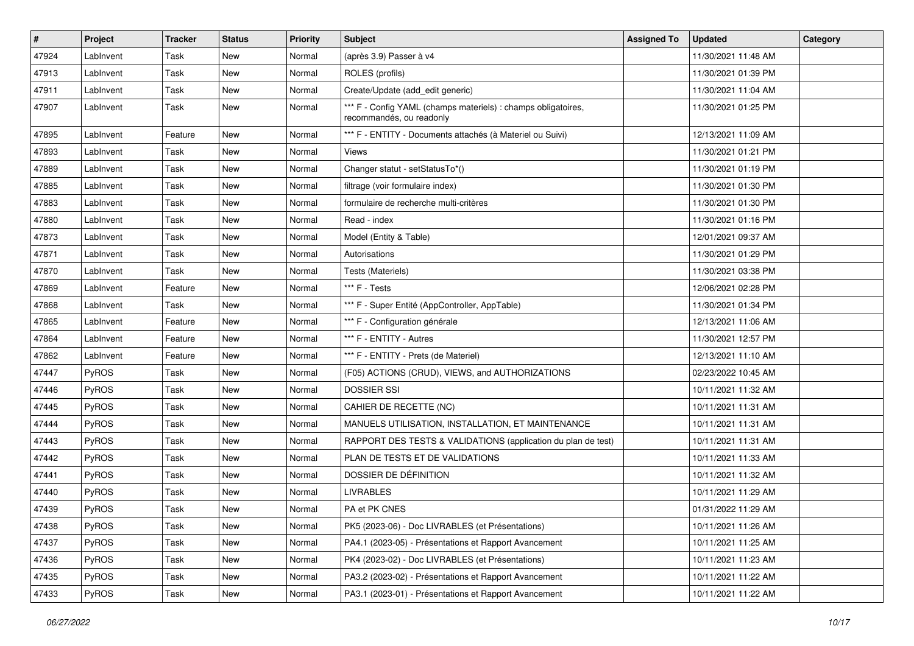| #     | Project      | <b>Tracker</b> | <b>Status</b> | <b>Priority</b> | <b>Subject</b>                                                                            | <b>Assigned To</b> | <b>Updated</b>      | Category |
|-------|--------------|----------------|---------------|-----------------|-------------------------------------------------------------------------------------------|--------------------|---------------------|----------|
| 47924 | LabInvent    | Task           | New           | Normal          | (après 3.9) Passer à v4                                                                   |                    | 11/30/2021 11:48 AM |          |
| 47913 | LabInvent    | Task           | <b>New</b>    | Normal          | ROLES (profils)                                                                           |                    | 11/30/2021 01:39 PM |          |
| 47911 | LabInvent    | Task           | New           | Normal          | Create/Update (add edit generic)                                                          |                    | 11/30/2021 11:04 AM |          |
| 47907 | LabInvent    | Task           | New           | Normal          | *** F - Config YAML (champs materiels) : champs obligatoires,<br>recommandés, ou readonly |                    | 11/30/2021 01:25 PM |          |
| 47895 | LabInvent    | Feature        | New           | Normal          | *** F - ENTITY - Documents attachés (à Materiel ou Suivi)                                 |                    | 12/13/2021 11:09 AM |          |
| 47893 | LabInvent    | Task           | <b>New</b>    | Normal          | Views                                                                                     |                    | 11/30/2021 01:21 PM |          |
| 47889 | LabInvent    | Task           | New           | Normal          | Changer statut - setStatusTo*()                                                           |                    | 11/30/2021 01:19 PM |          |
| 47885 | LabInvent    | Task           | New           | Normal          | filtrage (voir formulaire index)                                                          |                    | 11/30/2021 01:30 PM |          |
| 47883 | LabInvent    | Task           | New           | Normal          | formulaire de recherche multi-critères                                                    |                    | 11/30/2021 01:30 PM |          |
| 47880 | LabInvent    | Task           | New           | Normal          | Read - index                                                                              |                    | 11/30/2021 01:16 PM |          |
| 47873 | LabInvent    | Task           | <b>New</b>    | Normal          | Model (Entity & Table)                                                                    |                    | 12/01/2021 09:37 AM |          |
| 47871 | LabInvent    | Task           | New           | Normal          | Autorisations                                                                             |                    | 11/30/2021 01:29 PM |          |
| 47870 | LabInvent    | Task           | New           | Normal          | Tests (Materiels)                                                                         |                    | 11/30/2021 03:38 PM |          |
| 47869 | LabInvent    | Feature        | <b>New</b>    | Normal          | *** F - Tests                                                                             |                    | 12/06/2021 02:28 PM |          |
| 47868 | LabInvent    | Task           | New           | Normal          | *** F - Super Entité (AppController, AppTable)                                            |                    | 11/30/2021 01:34 PM |          |
| 47865 | LabInvent    | Feature        | New           | Normal          | *** F - Configuration générale                                                            |                    | 12/13/2021 11:06 AM |          |
| 47864 | LabInvent    | Feature        | New           | Normal          | *** F - ENTITY - Autres                                                                   |                    | 11/30/2021 12:57 PM |          |
| 47862 | LabInvent    | Feature        | New           | Normal          | *** F - ENTITY - Prets (de Materiel)                                                      |                    | 12/13/2021 11:10 AM |          |
| 47447 | PyROS        | Task           | New           | Normal          | (F05) ACTIONS (CRUD), VIEWS, and AUTHORIZATIONS                                           |                    | 02/23/2022 10:45 AM |          |
| 47446 | <b>PyROS</b> | Task           | New           | Normal          | <b>DOSSIER SSI</b>                                                                        |                    | 10/11/2021 11:32 AM |          |
| 47445 | PyROS        | Task           | New           | Normal          | CAHIER DE RECETTE (NC)                                                                    |                    | 10/11/2021 11:31 AM |          |
| 47444 | <b>PyROS</b> | Task           | New           | Normal          | MANUELS UTILISATION, INSTALLATION, ET MAINTENANCE                                         |                    | 10/11/2021 11:31 AM |          |
| 47443 | <b>PyROS</b> | Task           | New           | Normal          | RAPPORT DES TESTS & VALIDATIONS (application du plan de test)                             |                    | 10/11/2021 11:31 AM |          |
| 47442 | PyROS        | Task           | <b>New</b>    | Normal          | PLAN DE TESTS ET DE VALIDATIONS                                                           |                    | 10/11/2021 11:33 AM |          |
| 47441 | <b>PyROS</b> | Task           | New           | Normal          | DOSSIER DE DÉFINITION                                                                     |                    | 10/11/2021 11:32 AM |          |
| 47440 | <b>PyROS</b> | Task           | New           | Normal          | <b>LIVRABLES</b>                                                                          |                    | 10/11/2021 11:29 AM |          |
| 47439 | <b>PyROS</b> | Task           | <b>New</b>    | Normal          | PA et PK CNES                                                                             |                    | 01/31/2022 11:29 AM |          |
| 47438 | <b>PyROS</b> | Task           | New           | Normal          | PK5 (2023-06) - Doc LIVRABLES (et Présentations)                                          |                    | 10/11/2021 11:26 AM |          |
| 47437 | PyROS        | Task           | New           | Normal          | PA4.1 (2023-05) - Présentations et Rapport Avancement                                     |                    | 10/11/2021 11:25 AM |          |
| 47436 | <b>PyROS</b> | Task           | New           | Normal          | PK4 (2023-02) - Doc LIVRABLES (et Présentations)                                          |                    | 10/11/2021 11:23 AM |          |
| 47435 | PyROS        | Task           | New           | Normal          | PA3.2 (2023-02) - Présentations et Rapport Avancement                                     |                    | 10/11/2021 11:22 AM |          |
| 47433 | PyROS        | Task           | New           | Normal          | PA3.1 (2023-01) - Présentations et Rapport Avancement                                     |                    | 10/11/2021 11:22 AM |          |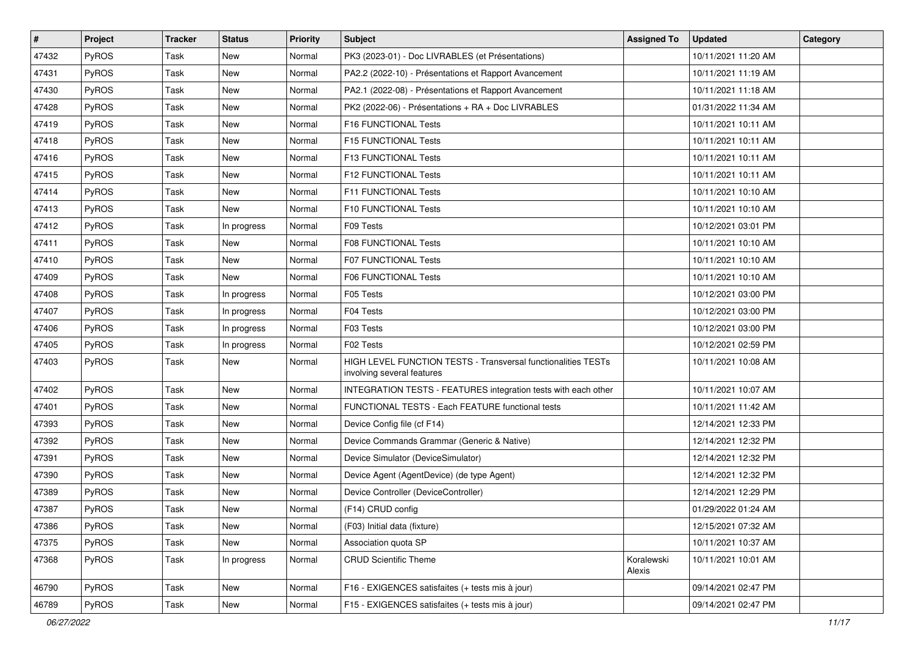| #     | Project | <b>Tracker</b> | <b>Status</b> | <b>Priority</b> | Subject                                                                                     | <b>Assigned To</b>   | <b>Updated</b>      | Category |
|-------|---------|----------------|---------------|-----------------|---------------------------------------------------------------------------------------------|----------------------|---------------------|----------|
| 47432 | PyROS   | <b>Task</b>    | <b>New</b>    | Normal          | PK3 (2023-01) - Doc LIVRABLES (et Présentations)                                            |                      | 10/11/2021 11:20 AM |          |
| 47431 | PyROS   | Task           | <b>New</b>    | Normal          | PA2.2 (2022-10) - Présentations et Rapport Avancement                                       |                      | 10/11/2021 11:19 AM |          |
| 47430 | PyROS   | Task           | New           | Normal          | PA2.1 (2022-08) - Présentations et Rapport Avancement                                       |                      | 10/11/2021 11:18 AM |          |
| 47428 | PyROS   | Task           | <b>New</b>    | Normal          | PK2 (2022-06) - Présentations + RA + Doc LIVRABLES                                          |                      | 01/31/2022 11:34 AM |          |
| 47419 | PyROS   | Task           | <b>New</b>    | Normal          | F16 FUNCTIONAL Tests                                                                        |                      | 10/11/2021 10:11 AM |          |
| 47418 | PyROS   | Task           | <b>New</b>    | Normal          | F15 FUNCTIONAL Tests                                                                        |                      | 10/11/2021 10:11 AM |          |
| 47416 | PyROS   | Task           | <b>New</b>    | Normal          | F13 FUNCTIONAL Tests                                                                        |                      | 10/11/2021 10:11 AM |          |
| 47415 | PyROS   | Task           | New           | Normal          | F12 FUNCTIONAL Tests                                                                        |                      | 10/11/2021 10:11 AM |          |
| 47414 | PyROS   | Task           | New           | Normal          | <b>F11 FUNCTIONAL Tests</b>                                                                 |                      | 10/11/2021 10:10 AM |          |
| 47413 | PyROS   | Task           | <b>New</b>    | Normal          | F10 FUNCTIONAL Tests                                                                        |                      | 10/11/2021 10:10 AM |          |
| 47412 | PyROS   | Task           | In progress   | Normal          | F09 Tests                                                                                   |                      | 10/12/2021 03:01 PM |          |
| 47411 | PyROS   | Task           | <b>New</b>    | Normal          | F08 FUNCTIONAL Tests                                                                        |                      | 10/11/2021 10:10 AM |          |
| 47410 | PyROS   | Task           | <b>New</b>    | Normal          | F07 FUNCTIONAL Tests                                                                        |                      | 10/11/2021 10:10 AM |          |
| 47409 | PyROS   | Task           | <b>New</b>    | Normal          | F06 FUNCTIONAL Tests                                                                        |                      | 10/11/2021 10:10 AM |          |
| 47408 | PyROS   | Task           | In progress   | Normal          | F05 Tests                                                                                   |                      | 10/12/2021 03:00 PM |          |
| 47407 | PyROS   | Task           | In progress   | Normal          | F04 Tests                                                                                   |                      | 10/12/2021 03:00 PM |          |
| 47406 | PyROS   | Task           | In progress   | Normal          | F03 Tests                                                                                   |                      | 10/12/2021 03:00 PM |          |
| 47405 | PyROS   | Task           | In progress   | Normal          | F02 Tests                                                                                   |                      | 10/12/2021 02:59 PM |          |
| 47403 | PyROS   | Task           | New           | Normal          | HIGH LEVEL FUNCTION TESTS - Transversal functionalities TESTs<br>involving several features |                      | 10/11/2021 10:08 AM |          |
| 47402 | PyROS   | Task           | <b>New</b>    | Normal          | INTEGRATION TESTS - FEATURES integration tests with each other                              |                      | 10/11/2021 10:07 AM |          |
| 47401 | PyROS   | Task           | New           | Normal          | FUNCTIONAL TESTS - Each FEATURE functional tests                                            |                      | 10/11/2021 11:42 AM |          |
| 47393 | PyROS   | Task           | <b>New</b>    | Normal          | Device Config file (cf F14)                                                                 |                      | 12/14/2021 12:33 PM |          |
| 47392 | PyROS   | Task           | New           | Normal          | Device Commands Grammar (Generic & Native)                                                  |                      | 12/14/2021 12:32 PM |          |
| 47391 | PyROS   | Task           | <b>New</b>    | Normal          | Device Simulator (DeviceSimulator)                                                          |                      | 12/14/2021 12:32 PM |          |
| 47390 | PyROS   | Task           | <b>New</b>    | Normal          | Device Agent (AgentDevice) (de type Agent)                                                  |                      | 12/14/2021 12:32 PM |          |
| 47389 | PyROS   | Task           | <b>New</b>    | Normal          | Device Controller (DeviceController)                                                        |                      | 12/14/2021 12:29 PM |          |
| 47387 | PyROS   | Task           | New           | Normal          | (F14) CRUD config                                                                           |                      | 01/29/2022 01:24 AM |          |
| 47386 | PyROS   | Task           | New           | Normal          | (F03) Initial data (fixture)                                                                |                      | 12/15/2021 07:32 AM |          |
| 47375 | PyROS   | Task           | New           | Normal          | Association quota SP                                                                        |                      | 10/11/2021 10:37 AM |          |
| 47368 | PyROS   | Task           | In progress   | Normal          | <b>CRUD Scientific Theme</b>                                                                | Koralewski<br>Alexis | 10/11/2021 10:01 AM |          |
| 46790 | PyROS   | Task           | New           | Normal          | F16 - EXIGENCES satisfaites (+ tests mis à jour)                                            |                      | 09/14/2021 02:47 PM |          |
| 46789 | PyROS   | Task           | New           | Normal          | F15 - EXIGENCES satisfaites (+ tests mis à jour)                                            |                      | 09/14/2021 02:47 PM |          |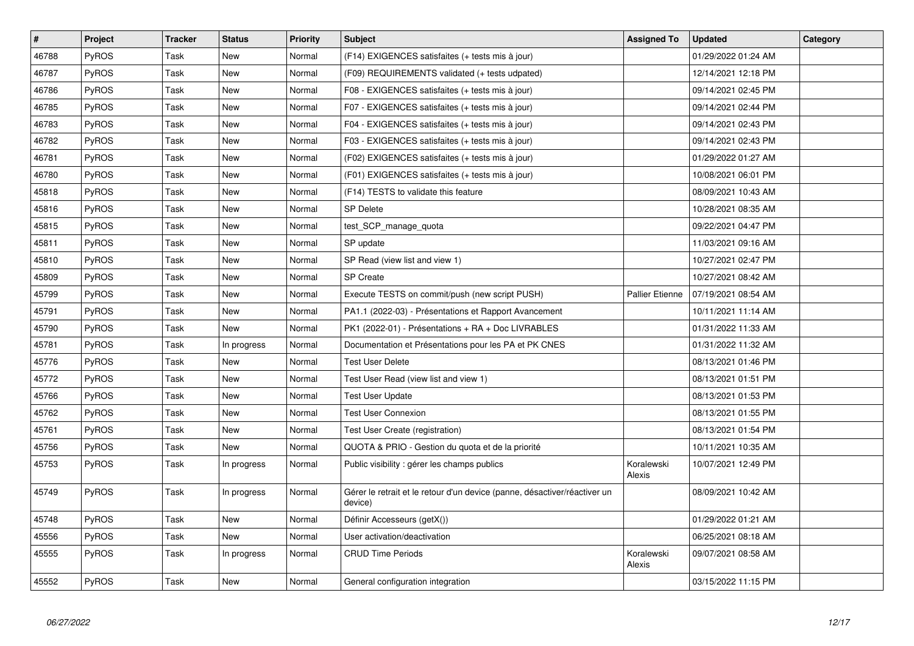| #     | Project      | <b>Tracker</b> | <b>Status</b> | <b>Priority</b> | <b>Subject</b>                                                                       | <b>Assigned To</b>   | <b>Updated</b>      | Category |
|-------|--------------|----------------|---------------|-----------------|--------------------------------------------------------------------------------------|----------------------|---------------------|----------|
| 46788 | PyROS        | Task           | New           | Normal          | (F14) EXIGENCES satisfaites (+ tests mis à jour)                                     |                      | 01/29/2022 01:24 AM |          |
| 46787 | PyROS        | Task           | New           | Normal          | (F09) REQUIREMENTS validated (+ tests udpated)                                       |                      | 12/14/2021 12:18 PM |          |
| 46786 | PyROS        | Task           | New           | Normal          | F08 - EXIGENCES satisfaites (+ tests mis à jour)                                     |                      | 09/14/2021 02:45 PM |          |
| 46785 | <b>PyROS</b> | Task           | New           | Normal          | F07 - EXIGENCES satisfaites (+ tests mis à jour)                                     |                      | 09/14/2021 02:44 PM |          |
| 46783 | PyROS        | Task           | New           | Normal          | F04 - EXIGENCES satisfaites (+ tests mis à jour)                                     |                      | 09/14/2021 02:43 PM |          |
| 46782 | PyROS        | Task           | New           | Normal          | F03 - EXIGENCES satisfaites (+ tests mis à jour)                                     |                      | 09/14/2021 02:43 PM |          |
| 46781 | PyROS        | Task           | New           | Normal          | (F02) EXIGENCES satisfaites (+ tests mis à jour)                                     |                      | 01/29/2022 01:27 AM |          |
| 46780 | <b>PyROS</b> | Task           | New           | Normal          | (F01) EXIGENCES satisfaites (+ tests mis à jour)                                     |                      | 10/08/2021 06:01 PM |          |
| 45818 | PyROS        | Task           | New           | Normal          | (F14) TESTS to validate this feature                                                 |                      | 08/09/2021 10:43 AM |          |
| 45816 | PyROS        | Task           | New           | Normal          | <b>SP Delete</b>                                                                     |                      | 10/28/2021 08:35 AM |          |
| 45815 | PyROS        | Task           | New           | Normal          | test SCP manage quota                                                                |                      | 09/22/2021 04:47 PM |          |
| 45811 | PyROS        | Task           | <b>New</b>    | Normal          | SP update                                                                            |                      | 11/03/2021 09:16 AM |          |
| 45810 | PyROS        | Task           | New           | Normal          | SP Read (view list and view 1)                                                       |                      | 10/27/2021 02:47 PM |          |
| 45809 | PyROS        | Task           | New           | Normal          | SP Create                                                                            |                      | 10/27/2021 08:42 AM |          |
| 45799 | <b>PyROS</b> | Task           | New           | Normal          | Execute TESTS on commit/push (new script PUSH)                                       | Pallier Etienne      | 07/19/2021 08:54 AM |          |
| 45791 | PyROS        | Task           | New           | Normal          | PA1.1 (2022-03) - Présentations et Rapport Avancement                                |                      | 10/11/2021 11:14 AM |          |
| 45790 | PyROS        | Task           | <b>New</b>    | Normal          | PK1 (2022-01) - Présentations + RA + Doc LIVRABLES                                   |                      | 01/31/2022 11:33 AM |          |
| 45781 | PyROS        | Task           | In progress   | Normal          | Documentation et Présentations pour les PA et PK CNES                                |                      | 01/31/2022 11:32 AM |          |
| 45776 | PyROS        | Task           | New           | Normal          | <b>Test User Delete</b>                                                              |                      | 08/13/2021 01:46 PM |          |
| 45772 | PyROS        | Task           | New           | Normal          | Test User Read (view list and view 1)                                                |                      | 08/13/2021 01:51 PM |          |
| 45766 | PyROS        | Task           | New           | Normal          | <b>Test User Update</b>                                                              |                      | 08/13/2021 01:53 PM |          |
| 45762 | PyROS        | Task           | New           | Normal          | <b>Test User Connexion</b>                                                           |                      | 08/13/2021 01:55 PM |          |
| 45761 | <b>PyROS</b> | Task           | New           | Normal          | Test User Create (registration)                                                      |                      | 08/13/2021 01:54 PM |          |
| 45756 | PyROS        | Task           | <b>New</b>    | Normal          | QUOTA & PRIO - Gestion du quota et de la priorité                                    |                      | 10/11/2021 10:35 AM |          |
| 45753 | PyROS        | Task           | In progress   | Normal          | Public visibility : gérer les champs publics                                         | Koralewski<br>Alexis | 10/07/2021 12:49 PM |          |
| 45749 | PyROS        | Task           | In progress   | Normal          | Gérer le retrait et le retour d'un device (panne, désactiver/réactiver un<br>device) |                      | 08/09/2021 10:42 AM |          |
| 45748 | PyROS        | Task           | <b>New</b>    | Normal          | Définir Accesseurs (getX())                                                          |                      | 01/29/2022 01:21 AM |          |
| 45556 | PyROS        | Task           | New           | Normal          | User activation/deactivation                                                         |                      | 06/25/2021 08:18 AM |          |
| 45555 | PyROS        | Task           | In progress   | Normal          | <b>CRUD Time Periods</b>                                                             | Koralewski<br>Alexis | 09/07/2021 08:58 AM |          |
| 45552 | PyROS        | Task           | New           | Normal          | General configuration integration                                                    |                      | 03/15/2022 11:15 PM |          |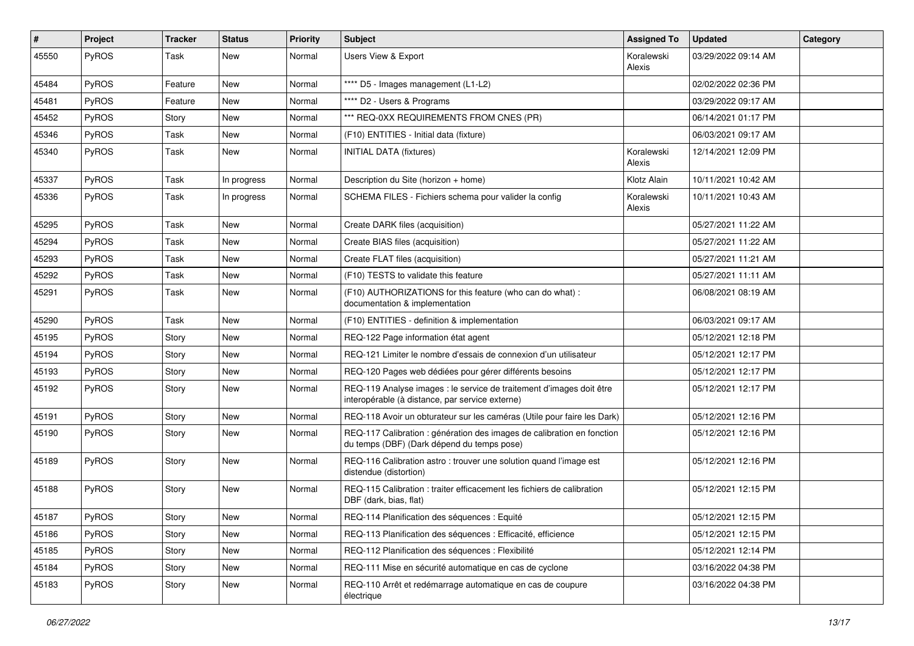| #     | Project | <b>Tracker</b> | <b>Status</b> | <b>Priority</b> | <b>Subject</b>                                                                                                          | <b>Assigned To</b>   | <b>Updated</b>      | Category |
|-------|---------|----------------|---------------|-----------------|-------------------------------------------------------------------------------------------------------------------------|----------------------|---------------------|----------|
| 45550 | PyROS   | Task           | New           | Normal          | Users View & Export                                                                                                     | Koralewski<br>Alexis | 03/29/2022 09:14 AM |          |
| 45484 | PyROS   | Feature        | New           | Normal          | **** D5 - Images management (L1-L2)                                                                                     |                      | 02/02/2022 02:36 PM |          |
| 45481 | PyROS   | Feature        | New           | Normal          | **** D2 - Users & Programs                                                                                              |                      | 03/29/2022 09:17 AM |          |
| 45452 | PyROS   | Story          | <b>New</b>    | Normal          | *** REQ-0XX REQUIREMENTS FROM CNES (PR)                                                                                 |                      | 06/14/2021 01:17 PM |          |
| 45346 | PyROS   | Task           | <b>New</b>    | Normal          | (F10) ENTITIES - Initial data (fixture)                                                                                 |                      | 06/03/2021 09:17 AM |          |
| 45340 | PyROS   | Task           | New           | Normal          | <b>INITIAL DATA (fixtures)</b>                                                                                          | Koralewski<br>Alexis | 12/14/2021 12:09 PM |          |
| 45337 | PyROS   | Task           | In progress   | Normal          | Description du Site (horizon + home)                                                                                    | Klotz Alain          | 10/11/2021 10:42 AM |          |
| 45336 | PyROS   | Task           | In progress   | Normal          | SCHEMA FILES - Fichiers schema pour valider la config                                                                   | Koralewski<br>Alexis | 10/11/2021 10:43 AM |          |
| 45295 | PyROS   | Task           | New           | Normal          | Create DARK files (acquisition)                                                                                         |                      | 05/27/2021 11:22 AM |          |
| 45294 | PyROS   | Task           | <b>New</b>    | Normal          | Create BIAS files (acquisition)                                                                                         |                      | 05/27/2021 11:22 AM |          |
| 45293 | PyROS   | Task           | New           | Normal          | Create FLAT files (acquisition)                                                                                         |                      | 05/27/2021 11:21 AM |          |
| 45292 | PyROS   | Task           | <b>New</b>    | Normal          | (F10) TESTS to validate this feature                                                                                    |                      | 05/27/2021 11:11 AM |          |
| 45291 | PyROS   | Task           | New           | Normal          | (F10) AUTHORIZATIONS for this feature (who can do what) :<br>documentation & implementation                             |                      | 06/08/2021 08:19 AM |          |
| 45290 | PyROS   | Task           | <b>New</b>    | Normal          | (F10) ENTITIES - definition & implementation                                                                            |                      | 06/03/2021 09:17 AM |          |
| 45195 | PyROS   | Story          | New           | Normal          | REQ-122 Page information état agent                                                                                     |                      | 05/12/2021 12:18 PM |          |
| 45194 | PyROS   | Story          | <b>New</b>    | Normal          | REQ-121 Limiter le nombre d'essais de connexion d'un utilisateur                                                        |                      | 05/12/2021 12:17 PM |          |
| 45193 | PyROS   | Story          | New           | Normal          | REQ-120 Pages web dédiées pour gérer différents besoins                                                                 |                      | 05/12/2021 12:17 PM |          |
| 45192 | PyROS   | Story          | New           | Normal          | REQ-119 Analyse images : le service de traitement d'images doit être<br>interopérable (à distance, par service externe) |                      | 05/12/2021 12:17 PM |          |
| 45191 | PyROS   | Story          | New           | Normal          | REQ-118 Avoir un obturateur sur les caméras (Utile pour faire les Dark)                                                 |                      | 05/12/2021 12:16 PM |          |
| 45190 | PyROS   | Story          | New           | Normal          | REQ-117 Calibration : génération des images de calibration en fonction<br>du temps (DBF) (Dark dépend du temps pose)    |                      | 05/12/2021 12:16 PM |          |
| 45189 | PyROS   | Story          | <b>New</b>    | Normal          | REQ-116 Calibration astro: trouver une solution quand l'image est<br>distendue (distortion)                             |                      | 05/12/2021 12:16 PM |          |
| 45188 | PyROS   | Story          | <b>New</b>    | Normal          | REQ-115 Calibration : traiter efficacement les fichiers de calibration<br>DBF (dark, bias, flat)                        |                      | 05/12/2021 12:15 PM |          |
| 45187 | PyROS   | Story          | New           | Normal          | REQ-114 Planification des séquences : Equité                                                                            |                      | 05/12/2021 12:15 PM |          |
| 45186 | PyROS   | Story          | New           | Normal          | REQ-113 Planification des séquences : Efficacité, efficience                                                            |                      | 05/12/2021 12:15 PM |          |
| 45185 | PyROS   | Story          | New           | Normal          | REQ-112 Planification des séquences : Flexibilité                                                                       |                      | 05/12/2021 12:14 PM |          |
| 45184 | PyROS   | Story          | New           | Normal          | REQ-111 Mise en sécurité automatique en cas de cyclone                                                                  |                      | 03/16/2022 04:38 PM |          |
| 45183 | PyROS   | Story          | New           | Normal          | REQ-110 Arrêt et redémarrage automatique en cas de coupure<br>électrique                                                |                      | 03/16/2022 04:38 PM |          |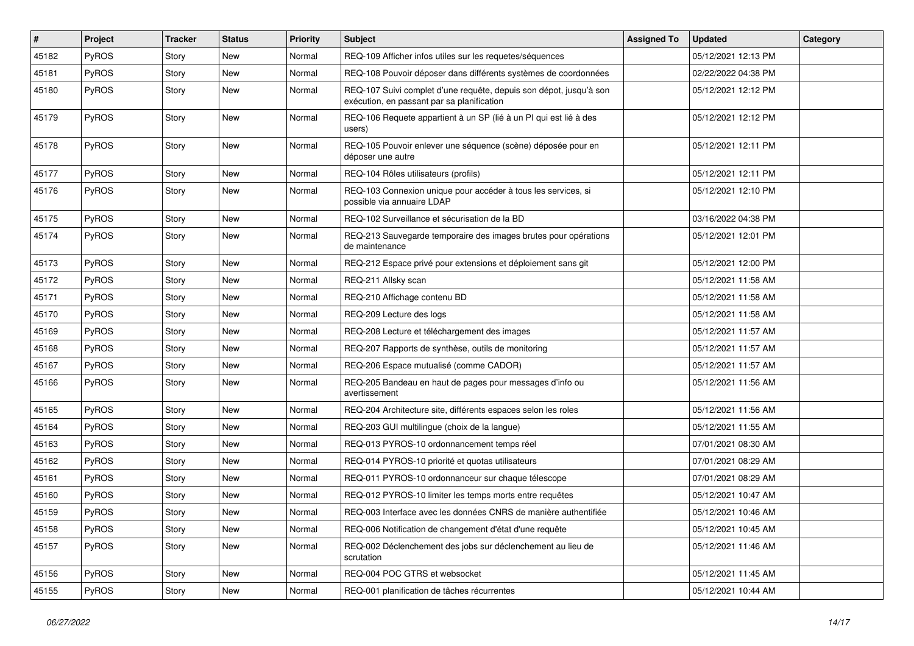| #     | Project | <b>Tracker</b> | <b>Status</b> | <b>Priority</b> | <b>Subject</b>                                                                                                   | <b>Assigned To</b> | <b>Updated</b>      | Category |
|-------|---------|----------------|---------------|-----------------|------------------------------------------------------------------------------------------------------------------|--------------------|---------------------|----------|
| 45182 | PyROS   | Story          | New           | Normal          | REQ-109 Afficher infos utiles sur les requetes/séquences                                                         |                    | 05/12/2021 12:13 PM |          |
| 45181 | PyROS   | Story          | <b>New</b>    | Normal          | REQ-108 Pouvoir déposer dans différents systèmes de coordonnées                                                  |                    | 02/22/2022 04:38 PM |          |
| 45180 | PyROS   | Story          | New           | Normal          | REQ-107 Suivi complet d'une requête, depuis son dépot, jusqu'à son<br>exécution, en passant par sa planification |                    | 05/12/2021 12:12 PM |          |
| 45179 | PyROS   | Story          | <b>New</b>    | Normal          | REQ-106 Requete appartient à un SP (lié à un PI qui est lié à des<br>users)                                      |                    | 05/12/2021 12:12 PM |          |
| 45178 | PyROS   | Story          | New           | Normal          | REQ-105 Pouvoir enlever une séquence (scène) déposée pour en<br>déposer une autre                                |                    | 05/12/2021 12:11 PM |          |
| 45177 | PyROS   | Story          | <b>New</b>    | Normal          | REQ-104 Rôles utilisateurs (profils)                                                                             |                    | 05/12/2021 12:11 PM |          |
| 45176 | PyROS   | Story          | New           | Normal          | REQ-103 Connexion unique pour accéder à tous les services, si<br>possible via annuaire LDAP                      |                    | 05/12/2021 12:10 PM |          |
| 45175 | PyROS   | Story          | <b>New</b>    | Normal          | REQ-102 Surveillance et sécurisation de la BD                                                                    |                    | 03/16/2022 04:38 PM |          |
| 45174 | PyROS   | Story          | <b>New</b>    | Normal          | REQ-213 Sauvegarde temporaire des images brutes pour opérations<br>de maintenance                                |                    | 05/12/2021 12:01 PM |          |
| 45173 | PyROS   | Story          | New           | Normal          | REQ-212 Espace privé pour extensions et déploiement sans git                                                     |                    | 05/12/2021 12:00 PM |          |
| 45172 | PyROS   | Story          | <b>New</b>    | Normal          | REQ-211 Allsky scan                                                                                              |                    | 05/12/2021 11:58 AM |          |
| 45171 | PyROS   | Story          | <b>New</b>    | Normal          | REQ-210 Affichage contenu BD                                                                                     |                    | 05/12/2021 11:58 AM |          |
| 45170 | PyROS   | Story          | <b>New</b>    | Normal          | REQ-209 Lecture des logs                                                                                         |                    | 05/12/2021 11:58 AM |          |
| 45169 | PyROS   | Story          | New           | Normal          | REQ-208 Lecture et téléchargement des images                                                                     |                    | 05/12/2021 11:57 AM |          |
| 45168 | PyROS   | Story          | New           | Normal          | REQ-207 Rapports de synthèse, outils de monitoring                                                               |                    | 05/12/2021 11:57 AM |          |
| 45167 | PyROS   | Story          | <b>New</b>    | Normal          | REQ-206 Espace mutualisé (comme CADOR)                                                                           |                    | 05/12/2021 11:57 AM |          |
| 45166 | PyROS   | Story          | New           | Normal          | REQ-205 Bandeau en haut de pages pour messages d'info ou<br>avertissement                                        |                    | 05/12/2021 11:56 AM |          |
| 45165 | PyROS   | Story          | <b>New</b>    | Normal          | REQ-204 Architecture site, différents espaces selon les roles                                                    |                    | 05/12/2021 11:56 AM |          |
| 45164 | PyROS   | Story          | <b>New</b>    | Normal          | REQ-203 GUI multilingue (choix de la langue)                                                                     |                    | 05/12/2021 11:55 AM |          |
| 45163 | PyROS   | Story          | <b>New</b>    | Normal          | REQ-013 PYROS-10 ordonnancement temps réel                                                                       |                    | 07/01/2021 08:30 AM |          |
| 45162 | PyROS   | Story          | <b>New</b>    | Normal          | REQ-014 PYROS-10 priorité et quotas utilisateurs                                                                 |                    | 07/01/2021 08:29 AM |          |
| 45161 | PyROS   | Story          | New           | Normal          | REQ-011 PYROS-10 ordonnanceur sur chaque télescope                                                               |                    | 07/01/2021 08:29 AM |          |
| 45160 | PyROS   | Story          | New           | Normal          | REQ-012 PYROS-10 limiter les temps morts entre requêtes                                                          |                    | 05/12/2021 10:47 AM |          |
| 45159 | PyROS   | Story          | New           | Normal          | REQ-003 Interface avec les données CNRS de manière authentifiée                                                  |                    | 05/12/2021 10:46 AM |          |
| 45158 | PyROS   | Story          | New           | Normal          | REQ-006 Notification de changement d'état d'une requête                                                          |                    | 05/12/2021 10:45 AM |          |
| 45157 | PyROS   | Story          | New           | Normal          | REQ-002 Déclenchement des jobs sur déclenchement au lieu de<br>scrutation                                        |                    | 05/12/2021 11:46 AM |          |
| 45156 | PyROS   | Story          | New           | Normal          | REQ-004 POC GTRS et websocket                                                                                    |                    | 05/12/2021 11:45 AM |          |
| 45155 | PyROS   | Story          | New           | Normal          | REQ-001 planification de tâches récurrentes                                                                      |                    | 05/12/2021 10:44 AM |          |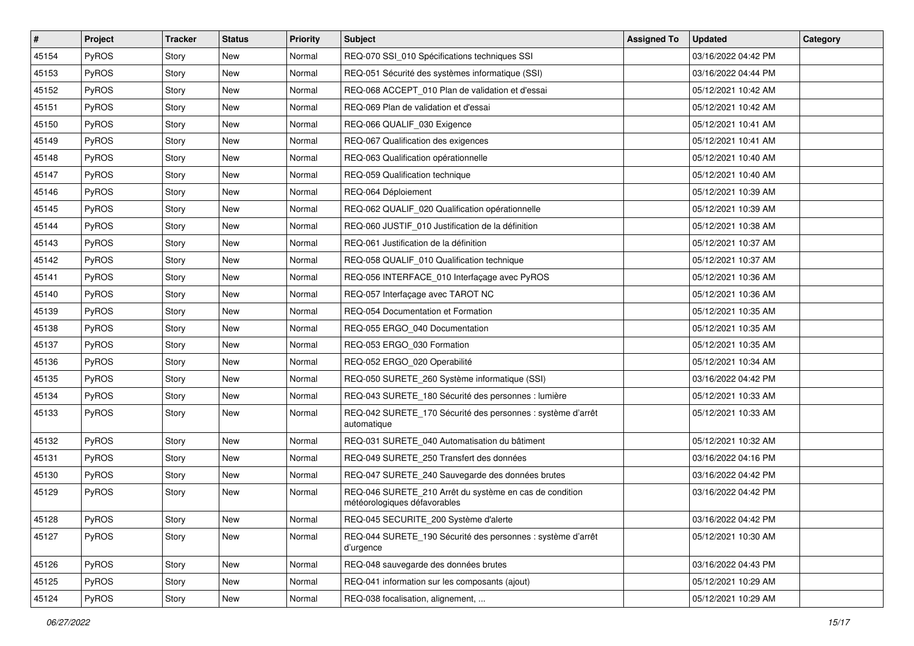| $\vert$ # | Project      | <b>Tracker</b> | <b>Status</b> | <b>Priority</b> | <b>Subject</b>                                                                          | <b>Assigned To</b> | <b>Updated</b>      | Category |
|-----------|--------------|----------------|---------------|-----------------|-----------------------------------------------------------------------------------------|--------------------|---------------------|----------|
| 45154     | PyROS        | Story          | <b>New</b>    | Normal          | REQ-070 SSI_010 Spécifications techniques SSI                                           |                    | 03/16/2022 04:42 PM |          |
| 45153     | PyROS        | Story          | <b>New</b>    | Normal          | REQ-051 Sécurité des systèmes informatique (SSI)                                        |                    | 03/16/2022 04:44 PM |          |
| 45152     | <b>PyROS</b> | Story          | New           | Normal          | REQ-068 ACCEPT 010 Plan de validation et d'essai                                        |                    | 05/12/2021 10:42 AM |          |
| 45151     | PyROS        | Story          | <b>New</b>    | Normal          | REQ-069 Plan de validation et d'essai                                                   |                    | 05/12/2021 10:42 AM |          |
| 45150     | PyROS        | Story          | <b>New</b>    | Normal          | REQ-066 QUALIF_030 Exigence                                                             |                    | 05/12/2021 10:41 AM |          |
| 45149     | PyROS        | Story          | <b>New</b>    | Normal          | REQ-067 Qualification des exigences                                                     |                    | 05/12/2021 10:41 AM |          |
| 45148     | PyROS        | Story          | <b>New</b>    | Normal          | REQ-063 Qualification opérationnelle                                                    |                    | 05/12/2021 10:40 AM |          |
| 45147     | PyROS        | Story          | New           | Normal          | REQ-059 Qualification technique                                                         |                    | 05/12/2021 10:40 AM |          |
| 45146     | PyROS        | Story          | New           | Normal          | REQ-064 Déploiement                                                                     |                    | 05/12/2021 10:39 AM |          |
| 45145     | PyROS        | Story          | <b>New</b>    | Normal          | REQ-062 QUALIF_020 Qualification opérationnelle                                         |                    | 05/12/2021 10:39 AM |          |
| 45144     | PyROS        | Story          | <b>New</b>    | Normal          | REQ-060 JUSTIF_010 Justification de la définition                                       |                    | 05/12/2021 10:38 AM |          |
| 45143     | PyROS        | Story          | <b>New</b>    | Normal          | REQ-061 Justification de la définition                                                  |                    | 05/12/2021 10:37 AM |          |
| 45142     | PyROS        | Story          | New           | Normal          | REQ-058 QUALIF_010 Qualification technique                                              |                    | 05/12/2021 10:37 AM |          |
| 45141     | PyROS        | Story          | <b>New</b>    | Normal          | REQ-056 INTERFACE_010 Interfaçage avec PyROS                                            |                    | 05/12/2021 10:36 AM |          |
| 45140     | PyROS        | Story          | <b>New</b>    | Normal          | REQ-057 Interfaçage avec TAROT NC                                                       |                    | 05/12/2021 10:36 AM |          |
| 45139     | PyROS        | Story          | <b>New</b>    | Normal          | REQ-054 Documentation et Formation                                                      |                    | 05/12/2021 10:35 AM |          |
| 45138     | PyROS        | Story          | <b>New</b>    | Normal          | REQ-055 ERGO_040 Documentation                                                          |                    | 05/12/2021 10:35 AM |          |
| 45137     | PyROS        | Story          | <b>New</b>    | Normal          | REQ-053 ERGO 030 Formation                                                              |                    | 05/12/2021 10:35 AM |          |
| 45136     | PyROS        | Story          | <b>New</b>    | Normal          | REQ-052 ERGO_020 Operabilité                                                            |                    | 05/12/2021 10:34 AM |          |
| 45135     | PyROS        | Story          | <b>New</b>    | Normal          | REQ-050 SURETE_260 Système informatique (SSI)                                           |                    | 03/16/2022 04:42 PM |          |
| 45134     | PyROS        | Story          | New           | Normal          | REQ-043 SURETE_180 Sécurité des personnes : lumière                                     |                    | 05/12/2021 10:33 AM |          |
| 45133     | PyROS        | Story          | New           | Normal          | REQ-042 SURETE_170 Sécurité des personnes : système d'arrêt<br>automatique              |                    | 05/12/2021 10:33 AM |          |
| 45132     | PyROS        | Story          | <b>New</b>    | Normal          | REQ-031 SURETE_040 Automatisation du bâtiment                                           |                    | 05/12/2021 10:32 AM |          |
| 45131     | PyROS        | Story          | <b>New</b>    | Normal          | REQ-049 SURETE_250 Transfert des données                                                |                    | 03/16/2022 04:16 PM |          |
| 45130     | PyROS        | Story          | New           | Normal          | REQ-047 SURETE_240 Sauvegarde des données brutes                                        |                    | 03/16/2022 04:42 PM |          |
| 45129     | PyROS        | Story          | New           | Normal          | REQ-046 SURETE_210 Arrêt du système en cas de condition<br>météorologiques défavorables |                    | 03/16/2022 04:42 PM |          |
| 45128     | PyROS        | Story          | New           | Normal          | REQ-045 SECURITE_200 Système d'alerte                                                   |                    | 03/16/2022 04:42 PM |          |
| 45127     | PyROS        | Story          | New           | Normal          | REQ-044 SURETE_190 Sécurité des personnes : système d'arrêt<br>d'urgence                |                    | 05/12/2021 10:30 AM |          |
| 45126     | PyROS        | Story          | New           | Normal          | REQ-048 sauvegarde des données brutes                                                   |                    | 03/16/2022 04:43 PM |          |
| 45125     | PyROS        | Story          | New           | Normal          | REQ-041 information sur les composants (ajout)                                          |                    | 05/12/2021 10:29 AM |          |
| 45124     | PyROS        | Story          | New           | Normal          | REQ-038 focalisation, alignement,                                                       |                    | 05/12/2021 10:29 AM |          |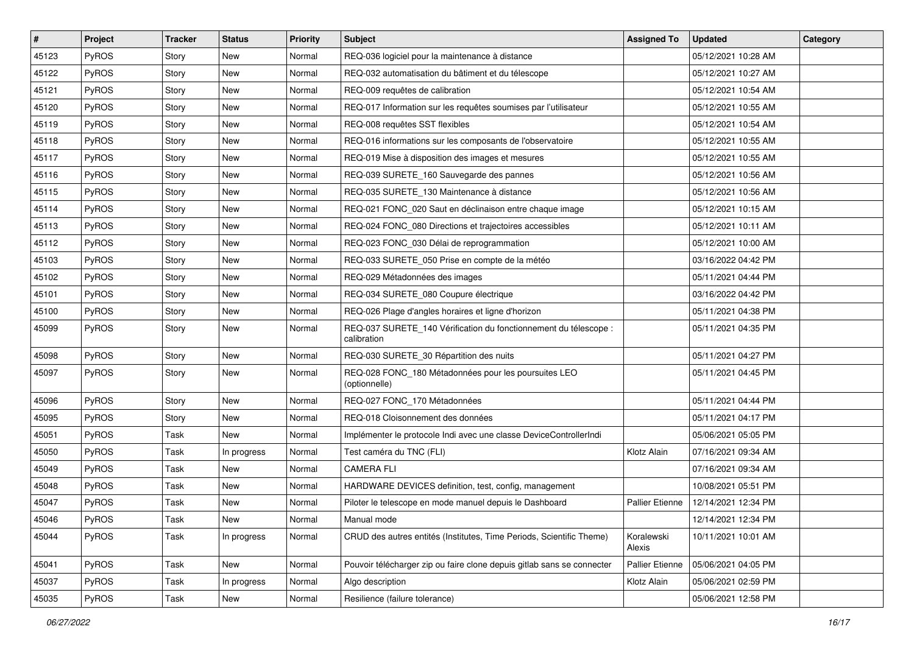| #     | Project      | <b>Tracker</b> | <b>Status</b> | <b>Priority</b> | <b>Subject</b>                                                                  | <b>Assigned To</b>     | <b>Updated</b>      | Category |
|-------|--------------|----------------|---------------|-----------------|---------------------------------------------------------------------------------|------------------------|---------------------|----------|
| 45123 | PyROS        | Story          | New           | Normal          | REQ-036 logiciel pour la maintenance à distance                                 |                        | 05/12/2021 10:28 AM |          |
| 45122 | PyROS        | Story          | <b>New</b>    | Normal          | REQ-032 automatisation du bâtiment et du télescope                              |                        | 05/12/2021 10:27 AM |          |
| 45121 | PyROS        | Story          | New           | Normal          | REQ-009 requêtes de calibration                                                 |                        | 05/12/2021 10:54 AM |          |
| 45120 | <b>PyROS</b> | Story          | New           | Normal          | REQ-017 Information sur les requêtes soumises par l'utilisateur                 |                        | 05/12/2021 10:55 AM |          |
| 45119 | <b>PyROS</b> | Story          | New           | Normal          | REQ-008 requêtes SST flexibles                                                  |                        | 05/12/2021 10:54 AM |          |
| 45118 | <b>PyROS</b> | Story          | New           | Normal          | REQ-016 informations sur les composants de l'observatoire                       |                        | 05/12/2021 10:55 AM |          |
| 45117 | <b>PyROS</b> | Story          | New           | Normal          | REQ-019 Mise à disposition des images et mesures                                |                        | 05/12/2021 10:55 AM |          |
| 45116 | <b>PyROS</b> | Story          | New           | Normal          | REQ-039 SURETE_160 Sauvegarde des pannes                                        |                        | 05/12/2021 10:56 AM |          |
| 45115 | <b>PyROS</b> | Story          | New           | Normal          | REQ-035 SURETE_130 Maintenance à distance                                       |                        | 05/12/2021 10:56 AM |          |
| 45114 | PyROS        | Story          | New           | Normal          | REQ-021 FONC_020 Saut en déclinaison entre chaque image                         |                        | 05/12/2021 10:15 AM |          |
| 45113 | <b>PyROS</b> | Story          | New           | Normal          | REQ-024 FONC_080 Directions et trajectoires accessibles                         |                        | 05/12/2021 10:11 AM |          |
| 45112 | <b>PyROS</b> | Story          | <b>New</b>    | Normal          | REQ-023 FONC_030 Délai de reprogrammation                                       |                        | 05/12/2021 10:00 AM |          |
| 45103 | <b>PyROS</b> | Story          | New           | Normal          | REQ-033 SURETE_050 Prise en compte de la météo                                  |                        | 03/16/2022 04:42 PM |          |
| 45102 | <b>PyROS</b> | Story          | New           | Normal          | REQ-029 Métadonnées des images                                                  |                        | 05/11/2021 04:44 PM |          |
| 45101 | PyROS        | Story          | <b>New</b>    | Normal          | REQ-034 SURETE_080 Coupure électrique                                           |                        | 03/16/2022 04:42 PM |          |
| 45100 | <b>PyROS</b> | Story          | New           | Normal          | REQ-026 Plage d'angles horaires et ligne d'horizon                              |                        | 05/11/2021 04:38 PM |          |
| 45099 | PyROS        | Story          | New           | Normal          | REQ-037 SURETE_140 Vérification du fonctionnement du télescope :<br>calibration |                        | 05/11/2021 04:35 PM |          |
| 45098 | PyROS        | Story          | New           | Normal          | REQ-030 SURETE_30 Répartition des nuits                                         |                        | 05/11/2021 04:27 PM |          |
| 45097 | <b>PyROS</b> | Story          | New           | Normal          | REQ-028 FONC_180 Métadonnées pour les poursuites LEO<br>(optionnelle)           |                        | 05/11/2021 04:45 PM |          |
| 45096 | PyROS        | Story          | New           | Normal          | REQ-027 FONC_170 Métadonnées                                                    |                        | 05/11/2021 04:44 PM |          |
| 45095 | PyROS        | Story          | <b>New</b>    | Normal          | REQ-018 Cloisonnement des données                                               |                        | 05/11/2021 04:17 PM |          |
| 45051 | <b>PyROS</b> | Task           | New           | Normal          | Implémenter le protocole Indi avec une classe DeviceControllerIndi              |                        | 05/06/2021 05:05 PM |          |
| 45050 | PyROS        | Task           | In progress   | Normal          | Test caméra du TNC (FLI)                                                        | Klotz Alain            | 07/16/2021 09:34 AM |          |
| 45049 | <b>PyROS</b> | Task           | New           | Normal          | <b>CAMERA FLI</b>                                                               |                        | 07/16/2021 09:34 AM |          |
| 45048 | <b>PyROS</b> | Task           | New           | Normal          | HARDWARE DEVICES definition, test, config, management                           |                        | 10/08/2021 05:51 PM |          |
| 45047 | PyROS        | Task           | New           | Normal          | Piloter le telescope en mode manuel depuis le Dashboard                         | Pallier Etienne        | 12/14/2021 12:34 PM |          |
| 45046 | PyROS        | Task           | New           | Normal          | Manual mode                                                                     |                        | 12/14/2021 12:34 PM |          |
| 45044 | PyROS        | Task           | In progress   | Normal          | CRUD des autres entités (Institutes, Time Periods, Scientific Theme)            | Koralewski<br>Alexis   | 10/11/2021 10:01 AM |          |
| 45041 | <b>PyROS</b> | Task           | New           | Normal          | Pouvoir télécharger zip ou faire clone depuis gitlab sans se connecter          | <b>Pallier Etienne</b> | 05/06/2021 04:05 PM |          |
| 45037 | <b>PyROS</b> | Task           | In progress   | Normal          | Algo description                                                                | Klotz Alain            | 05/06/2021 02:59 PM |          |
| 45035 | PyROS        | Task           | New           | Normal          | Resilience (failure tolerance)                                                  |                        | 05/06/2021 12:58 PM |          |